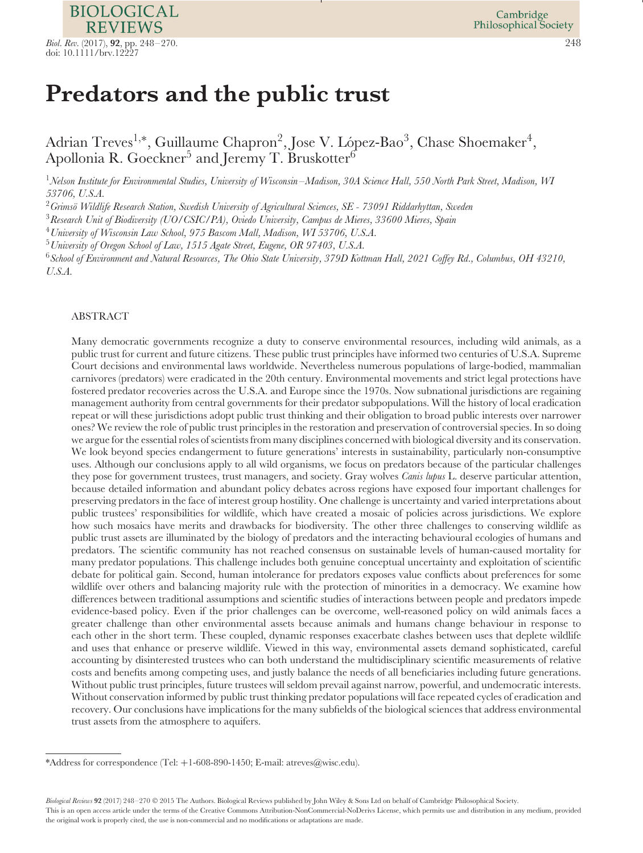

Cambridge **Philosophical Society** 

Adrian Treves<sup>1,\*</sup>, Guillaume Chapron<sup>2</sup>, Jose V. López-Bao<sup>3</sup>, Chase Shoemaker<sup>4</sup>, Apollonia R. Goeckner<sup>5</sup> and Jeremy T. Bruskotter<sup>6</sup>

<sup>1</sup>*Nelson Institute for Environmental Studies, University of Wisconsin–Madison, 30A Science Hall, 550 North Park Street, Madison, WI 53706, U.S.A.*

<sup>2</sup> Grimsö Wildlife Research Station, Swedish University of Agricultural Sciences, SE - 73091 Riddarhyttan, Sweden

<sup>3</sup>*Research Unit of Biodiversity (UO/CSIC/PA), Oviedo University, Campus de Mieres, 33600 Mieres, Spain*

<sup>4</sup>*University of Wisconsin Law School, 975 Bascom Mall, Madison, WI 53706, U.S.A.*

<sup>5</sup>*University of Oregon School of Law, 1515 Agate Street, Eugene, OR 97403, U.S.A.*

<sup>6</sup>*School of Environment and Natural Resources, The Ohio State University, 379D Kottman Hall, 2021 Coffey Rd., Columbus, OH 43210, U.S.A.*

#### ABSTRACT

Many democratic governments recognize a duty to conserve environmental resources, including wild animals, as a public trust for current and future citizens. These public trust principles have informed two centuries of U.S.A. Supreme Court decisions and environmental laws worldwide. Nevertheless numerous populations of large-bodied, mammalian carnivores (predators) were eradicated in the 20th century. Environmental movements and strict legal protections have fostered predator recoveries across the U.S.A. and Europe since the 1970s. Now subnational jurisdictions are regaining management authority from central governments for their predator subpopulations. Will the history of local eradication repeat or will these jurisdictions adopt public trust thinking and their obligation to broad public interests over narrower ones? We review the role of public trust principles in the restoration and preservation of controversial species. In so doing we argue for the essential roles of scientists from many disciplines concerned with biological diversity and its conservation. We look beyond species endangerment to future generations' interests in sustainability, particularly non-consumptive uses. Although our conclusions apply to all wild organisms, we focus on predators because of the particular challenges they pose for government trustees, trust managers, and society. Gray wolves *Canis lupus* L. deserve particular attention, because detailed information and abundant policy debates across regions have exposed four important challenges for preserving predators in the face of interest group hostility. One challenge is uncertainty and varied interpretations about public trustees' responsibilities for wildlife, which have created a mosaic of policies across jurisdictions. We explore how such mosaics have merits and drawbacks for biodiversity. The other three challenges to conserving wildlife as public trust assets are illuminated by the biology of predators and the interacting behavioural ecologies of humans and predators. The scientific community has not reached consensus on sustainable levels of human-caused mortality for many predator populations. This challenge includes both genuine conceptual uncertainty and exploitation of scientific debate for political gain. Second, human intolerance for predators exposes value conflicts about preferences for some wildlife over others and balancing majority rule with the protection of minorities in a democracy. We examine how differences between traditional assumptions and scientific studies of interactions between people and predators impede evidence-based policy. Even if the prior challenges can be overcome, well-reasoned policy on wild animals faces a greater challenge than other environmental assets because animals and humans change behaviour in response to each other in the short term. These coupled, dynamic responses exacerbate clashes between uses that deplete wildlife and uses that enhance or preserve wildlife. Viewed in this way, environmental assets demand sophisticated, careful accounting by disinterested trustees who can both understand the multidisciplinary scientific measurements of relative costs and benefits among competing uses, and justly balance the needs of all beneficiaries including future generations. Without public trust principles, future trustees will seldom prevail against narrow, powerful, and undemocratic interests. Without conservation informed by public trust thinking predator populations will face repeated cycles of eradication and recovery. Our conclusions have implications for the many subfields of the biological sciences that address environmental trust assets from the atmosphere to aquifers.

<sup>\*</sup>Address for correspondence (Tel: +1-608-890-1450; E-mail: atreves@wisc.edu).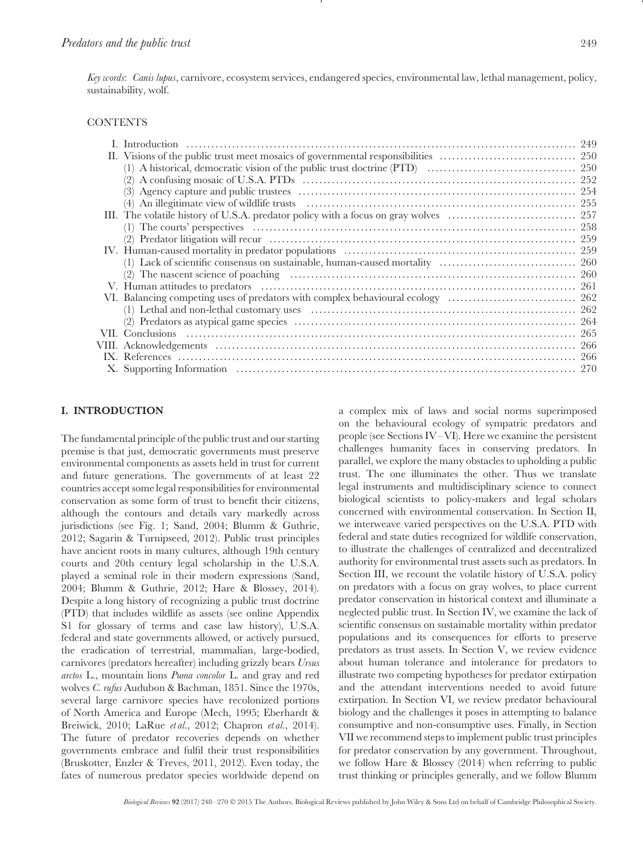*Key words*: *Canis lupus*, carnivore, ecosystem services, endangered species, environmental law, lethal management, policy, sustainability, wolf.

# **CONTENTS**

| VI. Balancing competing uses of predators with complex behavioural ecology  262 |  |
|---------------------------------------------------------------------------------|--|
|                                                                                 |  |
|                                                                                 |  |
|                                                                                 |  |
|                                                                                 |  |
|                                                                                 |  |
|                                                                                 |  |
|                                                                                 |  |

# <span id="page-1-0"></span>**I. INTRODUCTION**

The fundamental principle of the public trust and our starting premise is that just, democratic governments must preserve environmental components as assets held in trust for current and future generations. The governments of at least 22 countries accept some legal responsibilities for environmental conservation as some form of trust to benefit their citizens, although the contours and details vary markedly across jurisdictions (see Fig. 1; Sand, 2004; Blumm & Guthrie, 2012; Sagarin & Turnipseed, 2012). Public trust principles have ancient roots in many cultures, although 19th century courts and 20th century legal scholarship in the U.S.A. played a seminal role in their modern expressions (Sand, 2004; Blumm & Guthrie, 2012; Hare & Blossey, 2014). Despite a long history of recognizing a public trust doctrine (PTD) that includes wildlife as assets (see online Appendix S1 for glossary of terms and case law history), U.S.A. federal and state governments allowed, or actively pursued, the eradication of terrestrial, mammalian, large-bodied, carnivores (predators hereafter) including grizzly bears *Ursus arctos* L., mountain lions *Puma concolor* L. and gray and red wolves *C. rufus* Audubon & Bachman, 1851. Since the 1970s, several large carnivore species have recolonized portions of North America and Europe (Mech, 1995; Eberhardt & Breiwick, 2010; LaRue *et al.*, 2012; Chapron *et al.*, 2014). The future of predator recoveries depends on whether governments embrace and fulfil their trust responsibilities (Bruskotter, Enzler & Treves, 2011, 2012). Even today, the fates of numerous predator species worldwide depend on

a complex mix of laws and social norms superimposed on the behavioural ecology of sympatric predators and people (see Sections IV–VI). Here we examine the persistent challenges humanity faces in conserving predators. In parallel, we explore the many obstacles to upholding a public trust. The one illuminates the other. Thus we translate legal instruments and multidisciplinary science to connect biological scientists to policy-makers and legal scholars concerned with environmental conservation. In Section II, we interweave varied perspectives on the U.S.A. PTD with federal and state duties recognized for wildlife conservation, to illustrate the challenges of centralized and decentralized authority for environmental trust assets such as predators. In Section III, we recount the volatile history of U.S.A. policy on predators with a focus on gray wolves, to place current predator conservation in historical context and illuminate a neglected public trust. In Section IV, we examine the lack of scientific consensus on sustainable mortality within predator populations and its consequences for efforts to preserve predators as trust assets. In Section V, we review evidence about human tolerance and intolerance for predators to illustrate two competing hypotheses for predator extirpation and the attendant interventions needed to avoid future extirpation. In Section VI, we review predator behavioural biology and the challenges it poses in attempting to balance consumptive and non-consumptive uses. Finally, in Section VII we recommend steps to implement public trust principles for predator conservation by any government. Throughout, we follow Hare & Blossey (2014) when referring to public trust thinking or principles generally, and we follow Blumm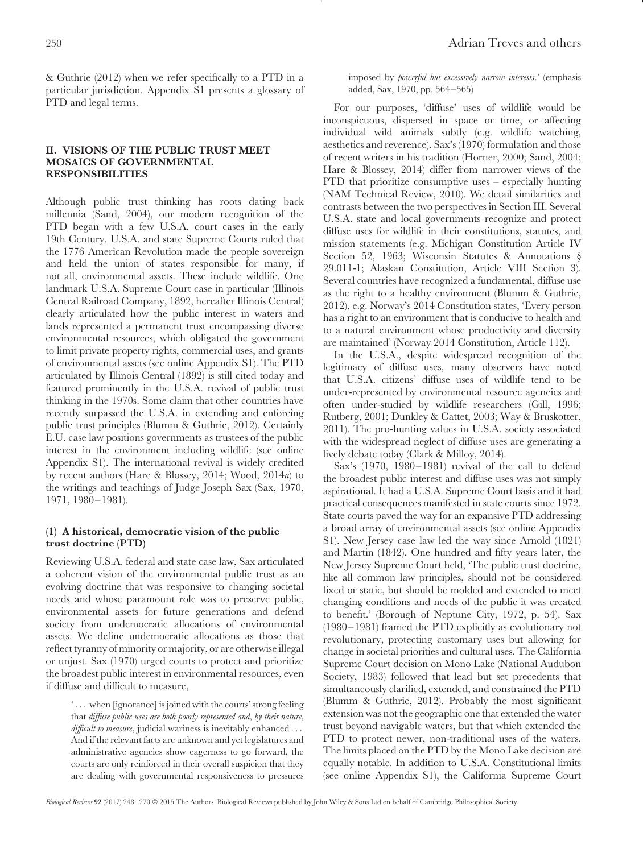& Guthrie (2012) when we refer specifically to a PTD in a particular jurisdiction. Appendix S1 presents a glossary of PTD and legal terms.

#### <span id="page-2-0"></span>**II. VISIONS OF THE PUBLIC TRUST MEET MOSAICS OF GOVERNMENTAL RESPONSIBILITIES**

Although public trust thinking has roots dating back millennia (Sand, 2004), our modern recognition of the PTD began with a few U.S.A. court cases in the early 19th Century. U.S.A. and state Supreme Courts ruled that the 1776 American Revolution made the people sovereign and held the union of states responsible for many, if not all, environmental assets. These include wildlife. One landmark U.S.A. Supreme Court case in particular (Illinois Central Railroad Company, 1892, hereafter Illinois Central) clearly articulated how the public interest in waters and lands represented a permanent trust encompassing diverse environmental resources, which obligated the government to limit private property rights, commercial uses, and grants of environmental assets (see online Appendix S1). The PTD articulated by Illinois Central (1892) is still cited today and featured prominently in the U.S.A. revival of public trust thinking in the 1970s. Some claim that other countries have recently surpassed the U.S.A. in extending and enforcing public trust principles (Blumm & Guthrie, 2012). Certainly E.U. case law positions governments as trustees of the public interest in the environment including wildlife (see online Appendix S1). The international revival is widely credited by recent authors (Hare & Blossey, 2014; Wood, 2014*a*) to the writings and teachings of Judge Joseph Sax (Sax, 1970, 1971, 1980–1981).

## <span id="page-2-1"></span>**(1) A historical, democratic vision of the public trust doctrine (PTD)**

Reviewing U.S.A. federal and state case law, Sax articulated a coherent vision of the environmental public trust as an evolving doctrine that was responsive to changing societal needs and whose paramount role was to preserve public, environmental assets for future generations and defend society from undemocratic allocations of environmental assets. We define undemocratic allocations as those that reflect tyranny of minority or majority, or are otherwise illegal or unjust. Sax (1970) urged courts to protect and prioritize the broadest public interest in environmental resources, even if diffuse and difficult to measure,

' *...* when [ignorance] is joined with the courts' strong feeling that *diffuse public uses are both poorly represented and, by their nature, difficult to measure*, judicial wariness is inevitably enhanced *...* And if the relevant facts are unknown and yet legislatures and administrative agencies show eagerness to go forward, the courts are only reinforced in their overall suspicion that they are dealing with governmental responsiveness to pressures

imposed by *powerful but excessively narrow interests*.' (emphasis added, Sax, 1970, pp. 564–565)

For our purposes, 'diffuse' uses of wildlife would be inconspicuous, dispersed in space or time, or affecting individual wild animals subtly (e.g. wildlife watching, aesthetics and reverence). Sax's (1970) formulation and those of recent writers in his tradition (Horner, 2000; Sand, 2004; Hare & Blossey, 2014) differ from narrower views of the PTD that prioritize consumptive uses – especially hunting (NAM Technical Review, 2010). We detail similarities and contrasts between the two perspectives in Section III. Several U.S.A. state and local governments recognize and protect diffuse uses for wildlife in their constitutions, statutes, and mission statements (e.g. Michigan Constitution Article IV Section 52, 1963; Wisconsin Statutes & Annotations § 29.011-1; Alaskan Constitution, Article VIII Section 3). Several countries have recognized a fundamental, diffuse use as the right to a healthy environment (Blumm & Guthrie, 2012), e.g. Norway's 2014 Constitution states, 'Every person has a right to an environment that is conducive to health and to a natural environment whose productivity and diversity are maintained' (Norway 2014 Constitution, Article 112).

In the U.S.A., despite widespread recognition of the legitimacy of diffuse uses, many observers have noted that U.S.A. citizens' diffuse uses of wildlife tend to be under-represented by environmental resource agencies and often under-studied by wildlife researchers (Gill, 1996; Rutberg, 2001; Dunkley & Cattet, 2003; Way & Bruskotter, 2011). The pro-hunting values in U.S.A. society associated with the widespread neglect of diffuse uses are generating a lively debate today (Clark & Milloy, 2014).

Sax's (1970, 1980–1981) revival of the call to defend the broadest public interest and diffuse uses was not simply aspirational. It had a U.S.A. Supreme Court basis and it had practical consequences manifested in state courts since 1972. State courts paved the way for an expansive PTD addressing a broad array of environmental assets (see online Appendix S1). New Jersey case law led the way since Arnold (1821) and Martin (1842). One hundred and fifty years later, the New Jersey Supreme Court held, 'The public trust doctrine, like all common law principles, should not be considered fixed or static, but should be molded and extended to meet changing conditions and needs of the public it was created to benefit.' (Borough of Neptune City, 1972, p. 54). Sax (1980–1981) framed the PTD explicitly as evolutionary not revolutionary, protecting customary uses but allowing for change in societal priorities and cultural uses. The California Supreme Court decision on Mono Lake (National Audubon Society, 1983) followed that lead but set precedents that simultaneously clarified, extended, and constrained the PTD (Blumm & Guthrie, 2012). Probably the most significant extension was not the geographic one that extended the water trust beyond navigable waters, but that which extended the PTD to protect newer, non-traditional uses of the waters. The limits placed on the PTD by the Mono Lake decision are equally notable. In addition to U.S.A. Constitutional limits (see online Appendix S1), the California Supreme Court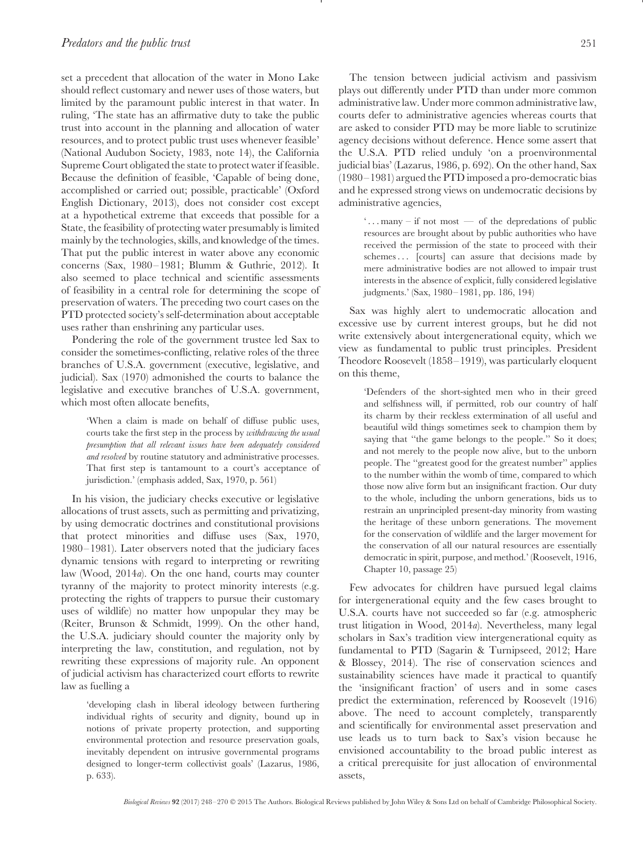set a precedent that allocation of the water in Mono Lake should reflect customary and newer uses of those waters, but limited by the paramount public interest in that water. In ruling, 'The state has an affirmative duty to take the public trust into account in the planning and allocation of water resources, and to protect public trust uses whenever feasible' (National Audubon Society, 1983, note 14), the California Supreme Court obligated the state to protect water if feasible. Because the definition of feasible, 'Capable of being done, accomplished or carried out; possible, practicable' (Oxford English Dictionary, 2013), does not consider cost except at a hypothetical extreme that exceeds that possible for a State, the feasibility of protecting water presumably is limited mainly by the technologies, skills, and knowledge of the times. That put the public interest in water above any economic concerns (Sax, 1980–1981; Blumm & Guthrie, 2012). It also seemed to place technical and scientific assessments of feasibility in a central role for determining the scope of preservation of waters. The preceding two court cases on the PTD protected society's self-determination about acceptable uses rather than enshrining any particular uses.

Pondering the role of the government trustee led Sax to consider the sometimes-conflicting, relative roles of the three branches of U.S.A. government (executive, legislative, and judicial). Sax (1970) admonished the courts to balance the legislative and executive branches of U.S.A. government, which most often allocate benefits,

'When a claim is made on behalf of diffuse public uses, courts take the first step in the process by *withdrawing the usual presumption that all relevant issues have been adequately considered and resolved* by routine statutory and administrative processes. That first step is tantamount to a court's acceptance of jurisdiction.' (emphasis added, Sax, 1970, p. 561)

In his vision, the judiciary checks executive or legislative allocations of trust assets, such as permitting and privatizing, by using democratic doctrines and constitutional provisions that protect minorities and diffuse uses (Sax, 1970, 1980–1981). Later observers noted that the judiciary faces dynamic tensions with regard to interpreting or rewriting law (Wood, 2014*a*). On the one hand, courts may counter tyranny of the majority to protect minority interests (e.g. protecting the rights of trappers to pursue their customary uses of wildlife) no matter how unpopular they may be (Reiter, Brunson & Schmidt, 1999). On the other hand, the U.S.A. judiciary should counter the majority only by interpreting the law, constitution, and regulation, not by rewriting these expressions of majority rule. An opponent of judicial activism has characterized court efforts to rewrite law as fuelling a

'developing clash in liberal ideology between furthering individual rights of security and dignity, bound up in notions of private property protection, and supporting environmental protection and resource preservation goals, inevitably dependent on intrusive governmental programs designed to longer-term collectivist goals' (Lazarus, 1986, p. 633).

The tension between judicial activism and passivism plays out differently under PTD than under more common administrative law. Under more common administrative law, courts defer to administrative agencies whereas courts that are asked to consider PTD may be more liable to scrutinize agency decisions without deference. Hence some assert that the U.S.A. PTD relied unduly 'on a proenvironmental judicial bias' (Lazarus, 1986, p. 692). On the other hand, Sax (1980–1981) argued the PTD imposed a pro-democratic bias and he expressed strong views on undemocratic decisions by administrative agencies,

' *...* many – if not most — of the depredations of public resources are brought about by public authorities who have received the permission of the state to proceed with their schemes *...* [courts] can assure that decisions made by mere administrative bodies are not allowed to impair trust interests in the absence of explicit, fully considered legislative judgments.' (Sax, 1980–1981, pp. 186, 194)

Sax was highly alert to undemocratic allocation and excessive use by current interest groups, but he did not write extensively about intergenerational equity, which we view as fundamental to public trust principles. President Theodore Roosevelt (1858–1919), was particularly eloquent on this theme,

'Defenders of the short-sighted men who in their greed and selfishness will, if permitted, rob our country of half its charm by their reckless extermination of all useful and beautiful wild things sometimes seek to champion them by saying that "the game belongs to the people." So it does; and not merely to the people now alive, but to the unborn people. The ''greatest good for the greatest number'' applies to the number within the womb of time, compared to which those now alive form but an insignificant fraction. Our duty to the whole, including the unborn generations, bids us to restrain an unprincipled present-day minority from wasting the heritage of these unborn generations. The movement for the conservation of wildlife and the larger movement for the conservation of all our natural resources are essentially democratic in spirit, purpose, and method.' (Roosevelt, 1916, Chapter 10, passage 25)

Few advocates for children have pursued legal claims for intergenerational equity and the few cases brought to U.S.A. courts have not succeeded so far (e.g. atmospheric trust litigation in Wood, 2014*a*). Nevertheless, many legal scholars in Sax's tradition view intergenerational equity as fundamental to PTD (Sagarin & Turnipseed, 2012; Hare & Blossey, 2014). The rise of conservation sciences and sustainability sciences have made it practical to quantify the 'insignificant fraction' of users and in some cases predict the extermination, referenced by Roosevelt (1916) above. The need to account completely, transparently and scientifically for environmental asset preservation and use leads us to turn back to Sax's vision because he envisioned accountability to the broad public interest as a critical prerequisite for just allocation of environmental assets,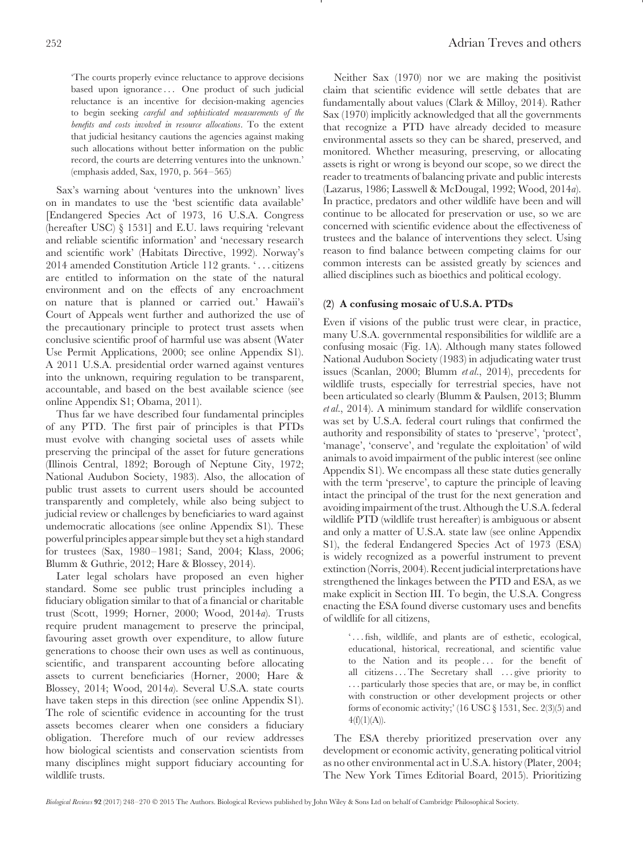'The courts properly evince reluctance to approve decisions based upon ignorance *...* One product of such judicial reluctance is an incentive for decision-making agencies to begin seeking *careful and sophisticated measurements of the benefits and costs involved in resource allocations*. To the extent that judicial hesitancy cautions the agencies against making such allocations without better information on the public record, the courts are deterring ventures into the unknown.' (emphasis added, Sax, 1970, p. 564–565)

Sax's warning about 'ventures into the unknown' lives on in mandates to use the 'best scientific data available' [Endangered Species Act of 1973, 16 U.S.A. Congress (hereafter USC) § 1531] and E.U. laws requiring 'relevant and reliable scientific information' and 'necessary research and scientific work' (Habitats Directive, 1992). Norway's 2014 amended Constitution Article 112 grants. ' *...* citizens are entitled to information on the state of the natural environment and on the effects of any encroachment on nature that is planned or carried out.' Hawaii's Court of Appeals went further and authorized the use of the precautionary principle to protect trust assets when conclusive scientific proof of harmful use was absent (Water Use Permit Applications, 2000; see online Appendix S1). A 2011 U.S.A. presidential order warned against ventures into the unknown, requiring regulation to be transparent, accountable, and based on the best available science (see online Appendix S1; Obama, 2011).

Thus far we have described four fundamental principles of any PTD. The first pair of principles is that PTDs must evolve with changing societal uses of assets while preserving the principal of the asset for future generations (Illinois Central, 1892; Borough of Neptune City, 1972; National Audubon Society, 1983). Also, the allocation of public trust assets to current users should be accounted transparently and completely, while also being subject to judicial review or challenges by beneficiaries to ward against undemocratic allocations (see online Appendix S1). These powerful principles appear simple but they set a high standard for trustees (Sax, 1980–1981; Sand, 2004; Klass, 2006; Blumm & Guthrie, 2012; Hare & Blossey, 2014).

Later legal scholars have proposed an even higher standard. Some see public trust principles including a fiduciary obligation similar to that of a financial or charitable trust (Scott, 1999; Horner, 2000; Wood, 2014*a*). Trusts require prudent management to preserve the principal, favouring asset growth over expenditure, to allow future generations to choose their own uses as well as continuous, scientific, and transparent accounting before allocating assets to current beneficiaries (Horner, 2000; Hare & Blossey, 2014; Wood, 2014*a*). Several U.S.A. state courts have taken steps in this direction (see online Appendix S1). The role of scientific evidence in accounting for the trust assets becomes clearer when one considers a fiduciary obligation. Therefore much of our review addresses how biological scientists and conservation scientists from many disciplines might support fiduciary accounting for wildlife trusts.

Neither Sax (1970) nor we are making the positivist claim that scientific evidence will settle debates that are fundamentally about values (Clark & Milloy, 2014). Rather Sax (1970) implicitly acknowledged that all the governments that recognize a PTD have already decided to measure environmental assets so they can be shared, preserved, and monitored. Whether measuring, preserving, or allocating assets is right or wrong is beyond our scope, so we direct the reader to treatments of balancing private and public interests (Lazarus, 1986; Lasswell & McDougal, 1992; Wood, 2014*a*). In practice, predators and other wildlife have been and will continue to be allocated for preservation or use, so we are concerned with scientific evidence about the effectiveness of trustees and the balance of interventions they select. Using reason to find balance between competing claims for our common interests can be assisted greatly by sciences and allied disciplines such as bioethics and political ecology.

# <span id="page-4-0"></span>**(2) A confusing mosaic of U.S.A. PTDs**

Even if visions of the public trust were clear, in practice, many U.S.A. governmental responsibilities for wildlife are a confusing mosaic (Fig. 1A). Although many states followed National Audubon Society (1983) in adjudicating water trust issues (Scanlan, 2000; Blumm *et al.*, 2014), precedents for wildlife trusts, especially for terrestrial species, have not been articulated so clearly (Blumm & Paulsen, 2013; Blumm *et al.*, 2014). A minimum standard for wildlife conservation was set by U.S.A. federal court rulings that confirmed the authority and responsibility of states to 'preserve', 'protect', 'manage', 'conserve', and 'regulate the exploitation' of wild animals to avoid impairment of the public interest (see online Appendix S1). We encompass all these state duties generally with the term 'preserve', to capture the principle of leaving intact the principal of the trust for the next generation and avoiding impairment of the trust. Although the U.S.A. federal wildlife PTD (wildlife trust hereafter) is ambiguous or absent and only a matter of U.S.A. state law (see online Appendix S1), the federal Endangered Species Act of 1973 (ESA) is widely recognized as a powerful instrument to prevent extinction (Norris, 2004). Recent judicial interpretations have strengthened the linkages between the PTD and ESA, as we make explicit in Section III. To begin, the U.S.A. Congress enacting the ESA found diverse customary uses and benefits of wildlife for all citizens,

' *...* fish, wildlife, and plants are of esthetic, ecological, educational, historical, recreational, and scientific value to the Nation and its people *...* for the benefit of all citizens *...*The Secretary shall *...* give priority to *...* particularly those species that are, or may be, in conflict with construction or other development projects or other forms of economic activity;' (16 USC  $\S$  1531, Sec. 2(3)(5) and  $4(f)(1)(A)).$ 

The ESA thereby prioritized preservation over any development or economic activity, generating political vitriol as no other environmental act in U.S.A. history (Plater, 2004; The New York Times Editorial Board, 2015). Prioritizing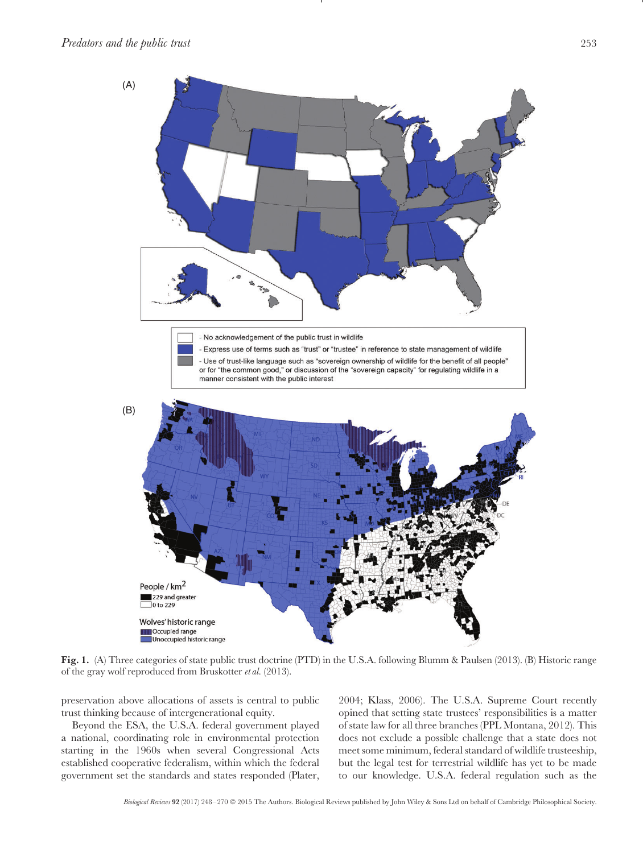

**Fig. 1.** (A) Three categories of state public trust doctrine (PTD) in the U.S.A. following Blumm & Paulsen (2013). (B) Historic range of the gray wolf reproduced from Bruskotter *et al.* (2013).

preservation above allocations of assets is central to public trust thinking because of intergenerational equity.

Beyond the ESA, the U.S.A. federal government played a national, coordinating role in environmental protection starting in the 1960s when several Congressional Acts established cooperative federalism, within which the federal government set the standards and states responded (Plater, 2004; Klass, 2006). The U.S.A. Supreme Court recently opined that setting state trustees' responsibilities is a matter of state law for all three branches (PPL Montana, 2012). This does not exclude a possible challenge that a state does not meet some minimum, federal standard of wildlife trusteeship, but the legal test for terrestrial wildlife has yet to be made to our knowledge. U.S.A. federal regulation such as the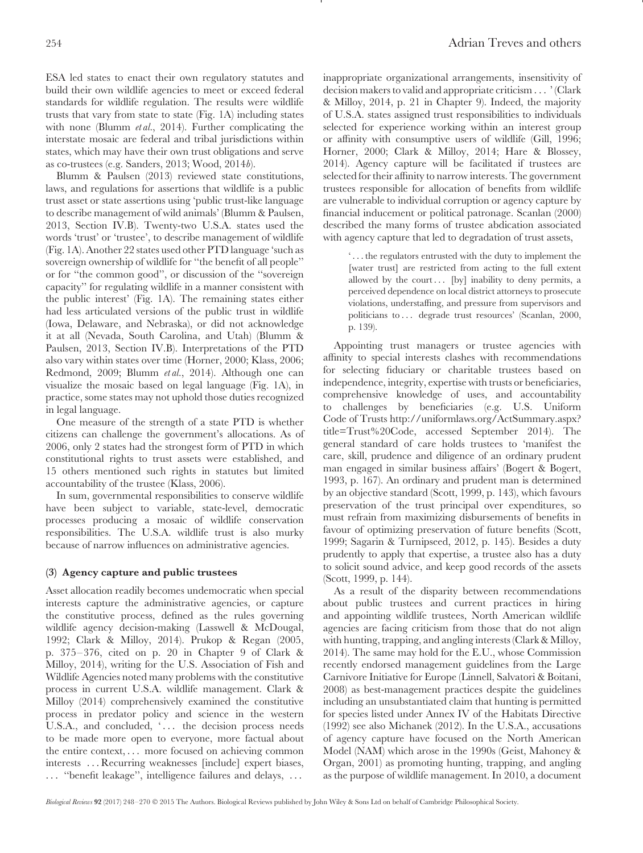ESA led states to enact their own regulatory statutes and build their own wildlife agencies to meet or exceed federal standards for wildlife regulation. The results were wildlife trusts that vary from state to state (Fig. 1A) including states with none (Blumm *et al.*, 2014). Further complicating the interstate mosaic are federal and tribal jurisdictions within states, which may have their own trust obligations and serve as co-trustees (e.g. Sanders, 2013; Wood, 2014*b*).

Blumm & Paulsen (2013) reviewed state constitutions, laws, and regulations for assertions that wildlife is a public trust asset or state assertions using 'public trust-like language to describe management of wild animals' (Blumm & Paulsen, 2013, Section IV.B). Twenty-two U.S.A. states used the words 'trust' or 'trustee', to describe management of wildlife (Fig. 1A). Another 22 states used other PTD language 'such as sovereign ownership of wildlife for ''the benefit of all people'' or for ''the common good'', or discussion of the ''sovereign capacity'' for regulating wildlife in a manner consistent with the public interest' (Fig. 1A). The remaining states either had less articulated versions of the public trust in wildlife (Iowa, Delaware, and Nebraska), or did not acknowledge it at all (Nevada, South Carolina, and Utah) (Blumm & Paulsen, 2013, Section IV.B). Interpretations of the PTD also vary within states over time (Horner, 2000; Klass, 2006; Redmond, 2009; Blumm *et al.*, 2014). Although one can visualize the mosaic based on legal language (Fig. 1A), in practice, some states may not uphold those duties recognized in legal language.

One measure of the strength of a state PTD is whether citizens can challenge the government's allocations. As of 2006, only 2 states had the strongest form of PTD in which constitutional rights to trust assets were established, and 15 others mentioned such rights in statutes but limited accountability of the trustee (Klass, 2006).

In sum, governmental responsibilities to conserve wildlife have been subject to variable, state-level, democratic processes producing a mosaic of wildlife conservation responsibilities. The U.S.A. wildlife trust is also murky because of narrow influences on administrative agencies.

#### <span id="page-6-0"></span>**(3) Agency capture and public trustees**

Asset allocation readily becomes undemocratic when special interests capture the administrative agencies, or capture the constitutive process, defined as the rules governing wildlife agency decision-making (Lasswell & McDougal, 1992; Clark & Milloy, 2014). Prukop & Regan (2005, p. 375–376, cited on p. 20 in Chapter 9 of Clark & Milloy, 2014), writing for the U.S. Association of Fish and Wildlife Agencies noted many problems with the constitutive process in current U.S.A. wildlife management. Clark & Milloy (2014) comprehensively examined the constitutive process in predator policy and science in the western U.S.A., and concluded, '... the decision process needs to be made more open to everyone, more factual about the entire context, *...* more focused on achieving common interests *...* Recurring weaknesses [include] expert biases, *...* ''benefit leakage'', intelligence failures and delays, *...*

inappropriate organizational arrangements, insensitivity of decision makers to valid and appropriate criticism *...* ' (Clark & Milloy, 2014, p. 21 in Chapter 9). Indeed, the majority of U.S.A. states assigned trust responsibilities to individuals selected for experience working within an interest group or affinity with consumptive users of wildlife (Gill, 1996; Horner, 2000; Clark & Milloy, 2014; Hare & Blossey, 2014). Agency capture will be facilitated if trustees are selected for their affinity to narrow interests. The government trustees responsible for allocation of benefits from wildlife are vulnerable to individual corruption or agency capture by financial inducement or political patronage. Scanlan (2000) described the many forms of trustee abdication associated with agency capture that led to degradation of trust assets,

' *...* the regulators entrusted with the duty to implement the [water trust] are restricted from acting to the full extent allowed by the court *...* [by] inability to deny permits, a perceived dependence on local district attorneys to prosecute violations, understaffing, and pressure from supervisors and politicians to *...* degrade trust resources' (Scanlan, 2000, p. 139).

Appointing trust managers or trustee agencies with affinity to special interests clashes with recommendations for selecting fiduciary or charitable trustees based on independence, integrity, expertise with trusts or beneficiaries, comprehensive knowledge of uses, and accountability to challenges by beneficiaries (e.g. U.S. Uniform Code of Trusts [http://uniformlaws.org/ActSummary.aspx?](http://uniformlaws.org/ActSummary.aspx?title=Trust%20Code) [title=Trust%20Code,](http://uniformlaws.org/ActSummary.aspx?title=Trust%20Code) accessed September 2014). The general standard of care holds trustees to 'manifest the care, skill, prudence and diligence of an ordinary prudent man engaged in similar business affairs' (Bogert & Bogert, 1993, p. 167). An ordinary and prudent man is determined by an objective standard (Scott, 1999, p. 143), which favours preservation of the trust principal over expenditures, so must refrain from maximizing disbursements of benefits in favour of optimizing preservation of future benefits (Scott, 1999; Sagarin & Turnipseed, 2012, p. 145). Besides a duty prudently to apply that expertise, a trustee also has a duty to solicit sound advice, and keep good records of the assets (Scott, 1999, p. 144).

As a result of the disparity between recommendations about public trustees and current practices in hiring and appointing wildlife trustees, North American wildlife agencies are facing criticism from those that do not align with hunting, trapping, and angling interests (Clark & Milloy, 2014). The same may hold for the E.U., whose Commission recently endorsed management guidelines from the Large Carnivore Initiative for Europe (Linnell, Salvatori & Boitani, 2008) as best-management practices despite the guidelines including an unsubstantiated claim that hunting is permitted for species listed under Annex IV of the Habitats Directive (1992) see also Michanek (2012). In the U.S.A., accusations of agency capture have focused on the North American Model (NAM) which arose in the 1990s (Geist, Mahoney & Organ, 2001) as promoting hunting, trapping, and angling as the purpose of wildlife management. In 2010, a document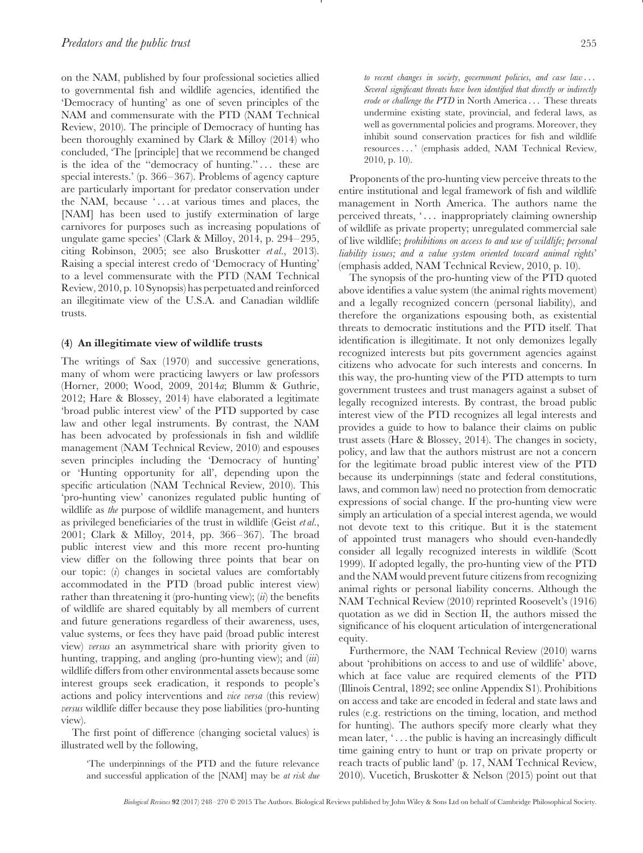on the NAM, published by four professional societies allied to governmental fish and wildlife agencies, identified the 'Democracy of hunting' as one of seven principles of the NAM and commensurate with the PTD (NAM Technical Review, 2010). The principle of Democracy of hunting has been thoroughly examined by Clark & Milloy (2014) who concluded, 'The [principle] that we recommend be changed is the idea of the ''democracy of hunting.'' *...* these are special interests.' (p. 366–367). Problems of agency capture are particularly important for predator conservation under the NAM, because  $\cdot \cdot \cdot$  at various times and places, the [NAM] has been used to justify extermination of large carnivores for purposes such as increasing populations of ungulate game species' (Clark & Milloy, 2014, p. 294–295, citing Robinson, 2005; see also Bruskotter *et al.*, 2013). Raising a special interest credo of 'Democracy of Hunting' to a level commensurate with the PTD (NAM Technical Review*,* 2010, p. 10 Synopsis) has perpetuated and reinforced an illegitimate view of the U.S.A. and Canadian wildlife trusts.

#### <span id="page-7-0"></span>**(4) An illegitimate view of wildlife trusts**

The writings of Sax (1970) and successive generations, many of whom were practicing lawyers or law professors (Horner, 2000; Wood, 2009, 2014*a*; Blumm & Guthrie, 2012; Hare & Blossey, 2014) have elaborated a legitimate 'broad public interest view' of the PTD supported by case law and other legal instruments. By contrast, the NAM has been advocated by professionals in fish and wildlife management (NAM Technical Review*,* 2010) and espouses seven principles including the 'Democracy of hunting' or 'Hunting opportunity for all', depending upon the specific articulation (NAM Technical Review*,* 2010). This 'pro-hunting view' canonizes regulated public hunting of wildlife as *the* purpose of wildlife management, and hunters as privileged beneficiaries of the trust in wildlife (Geist *et al.*, 2001; Clark & Milloy, 2014, pp. 366–367). The broad public interest view and this more recent pro-hunting view differ on the following three points that bear on our topic: (*i*) changes in societal values are comfortably accommodated in the PTD (broad public interest view) rather than threatening it (pro-hunting view); (*ii*) the benefits of wildlife are shared equitably by all members of current and future generations regardless of their awareness, uses, value systems, or fees they have paid (broad public interest view) *versus* an asymmetrical share with priority given to hunting, trapping, and angling (pro-hunting view); and (*iii*) wildlife differs from other environmental assets because some interest groups seek eradication, it responds to people's actions and policy interventions and *vice versa* (this review) *versus* wildlife differ because they pose liabilities (pro-hunting view).

The first point of difference (changing societal values) is illustrated well by the following,

'The underpinnings of the PTD and the future relevance and successful application of the [NAM] may be *at risk due*

*to recent changes in society, government policies, and case law ... Several significant threats have been identified that directly or indirectly erode or challenge the PTD* in North America *...* These threats undermine existing state, provincial, and federal laws, as well as governmental policies and programs. Moreover, they inhibit sound conservation practices for fish and wildlife resources *...* ' (emphasis added, NAM Technical Review*,* 2010, p. 10).

Proponents of the pro-hunting view perceive threats to the entire institutional and legal framework of fish and wildlife management in North America. The authors name the perceived threats, ' *...* inappropriately claiming ownership of wildlife as private property; unregulated commercial sale of live wildlife; *prohibitions on access to and use of wildlife; personal liability issues; and a value system oriented toward animal rights*' (emphasis added, NAM Technical Review*,* 2010, p. 10).

The synopsis of the pro-hunting view of the PTD quoted above identifies a value system (the animal rights movement) and a legally recognized concern (personal liability), and therefore the organizations espousing both, as existential threats to democratic institutions and the PTD itself. That identification is illegitimate. It not only demonizes legally recognized interests but pits government agencies against citizens who advocate for such interests and concerns. In this way, the pro-hunting view of the PTD attempts to turn government trustees and trust managers against a subset of legally recognized interests. By contrast, the broad public interest view of the PTD recognizes all legal interests and provides a guide to how to balance their claims on public trust assets (Hare & Blossey, 2014). The changes in society, policy, and law that the authors mistrust are not a concern for the legitimate broad public interest view of the PTD because its underpinnings (state and federal constitutions, laws, and common law) need no protection from democratic expressions of social change. If the pro-hunting view were simply an articulation of a special interest agenda, we would not devote text to this critique. But it is the statement of appointed trust managers who should even-handedly consider all legally recognized interests in wildlife (Scott 1999). If adopted legally, the pro-hunting view of the PTD and the NAM would prevent future citizens from recognizing animal rights or personal liability concerns. Although the NAM Technical Review (2010) reprinted Roosevelt's (1916) quotation as we did in Section II, the authors missed the significance of his eloquent articulation of intergenerational equity.

Furthermore, the NAM Technical Review (2010) warns about 'prohibitions on access to and use of wildlife' above, which at face value are required elements of the PTD (Illinois Central, 1892; see online Appendix S1). Prohibitions on access and take are encoded in federal and state laws and rules (e.g. restrictions on the timing, location, and method for hunting). The authors specify more clearly what they mean later, '... the public is having an increasingly difficult time gaining entry to hunt or trap on private property or reach tracts of public land' (p. 17, NAM Technical Review, 2010). Vucetich, Bruskotter & Nelson (2015) point out that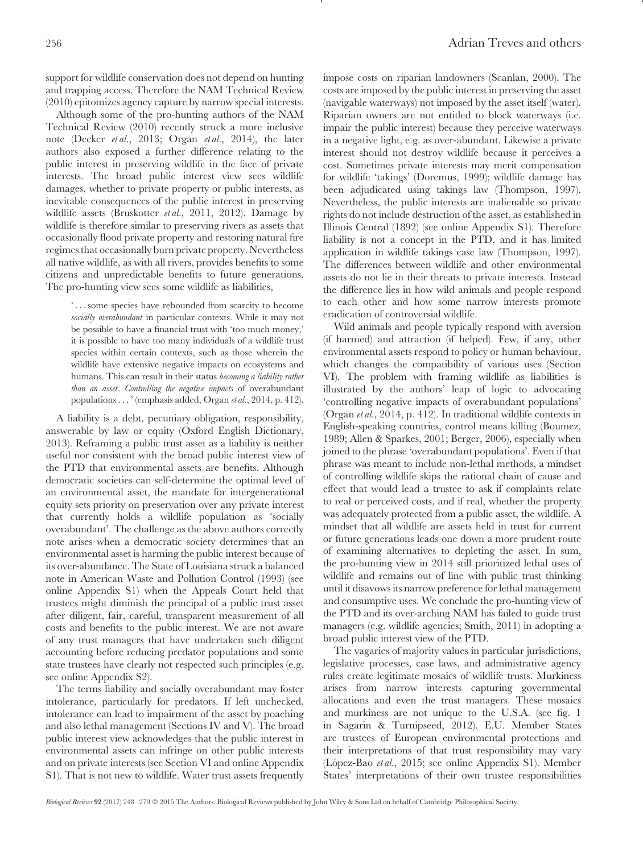support for wildlife conservation does not depend on hunting and trapping access. Therefore the NAM Technical Review (2010) epitomizes agency capture by narrow special interests.

Although some of the pro-hunting authors of the NAM Technical Review (2010) recently struck a more inclusive note (Decker *et al.*, 2013; Organ *et al.*, 2014), the later authors also exposed a further difference relating to the public interest in preserving wildlife in the face of private interests. The broad public interest view sees wildlife damages, whether to private property or public interests, as inevitable consequences of the public interest in preserving wildlife assets (Bruskotter *et al.*, 2011, 2012). Damage by wildlife is therefore similar to preserving rivers as assets that occasionally flood private property and restoring natural fire regimes that occasionally burn private property. Nevertheless all native wildlife, as with all rivers, provides benefits to some citizens and unpredictable benefits to future generations. The pro-hunting view sees some wildlife as liabilities,

' *...* some species have rebounded from scarcity to become *socially overabundant* in particular contexts. While it may not be possible to have a financial trust with 'too much money,' it is possible to have too many individuals of a wildlife trust species within certain contexts, such as those wherein the wildlife have extensive negative impacts on ecosystems and humans. This can result in their status *becoming a liability rather than an asset*. *Controlling the negative impacts* of overabundant populations *...* ' (emphasis added, Organ *et al.*, 2014, p. 412).

A liability is a debt, pecuniary obligation, responsibility, answerable by law or equity (Oxford English Dictionary, 2013). Reframing a public trust asset as a liability is neither useful nor consistent with the broad public interest view of the PTD that environmental assets are benefits. Although democratic societies can self-determine the optimal level of an environmental asset, the mandate for intergenerational equity sets priority on preservation over any private interest that currently holds a wildlife population as 'socially overabundant'. The challenge as the above authors correctly note arises when a democratic society determines that an environmental asset is harming the public interest because of its over-abundance. The State of Louisiana struck a balanced note in American Waste and Pollution Control (1993) (see online Appendix S1) when the Appeals Court held that trustees might diminish the principal of a public trust asset after diligent, fair, careful, transparent measurement of all costs and benefits to the public interest. We are not aware of any trust managers that have undertaken such diligent accounting before reducing predator populations and some state trustees have clearly not respected such principles (e.g. see online Appendix S2).

The terms liability and socially overabundant may foster intolerance, particularly for predators. If left unchecked, intolerance can lead to impairment of the asset by poaching and also lethal management (Sections IV and V). The broad public interest view acknowledges that the public interest in environmental assets can infringe on other public interests and on private interests (see Section VI and online Appendix S1). That is not new to wildlife. Water trust assets frequently impose costs on riparian landowners (Scanlan, 2000). The costs are imposed by the public interest in preserving the asset (navigable waterways) not imposed by the asset itself (water). Riparian owners are not entitled to block waterways (i.e. impair the public interest) because they perceive waterways in a negative light, e.g. as over-abundant. Likewise a private interest should not destroy wildlife because it perceives a cost. Sometimes private interests may merit compensation for wildlife 'takings' (Doremus, 1999); wildlife damage has been adjudicated using takings law (Thompson, 1997). Nevertheless, the public interests are inalienable so private rights do not include destruction of the asset, as established in Illinois Central (1892) (see online Appendix S1). Therefore liability is not a concept in the PTD, and it has limited application in wildlife takings case law (Thompson, 1997). The differences between wildlife and other environmental assets do not lie in their threats to private interests. Instead the difference lies in how wild animals and people respond to each other and how some narrow interests promote eradication of controversial wildlife.

Wild animals and people typically respond with aversion (if harmed) and attraction (if helped). Few, if any, other environmental assets respond to policy or human behaviour, which changes the compatibility of various uses (Section VI). The problem with framing wildlife as liabilities is illustrated by the authors' leap of logic to advocating 'controlling negative impacts of overabundant populations' (Organ *et al.*, 2014, p. 412). In traditional wildlife contexts in English-speaking countries, control means killing (Boumez, 1989; Allen & Sparkes, 2001; Berger, 2006), especially when joined to the phrase 'overabundant populations'. Even if that phrase was meant to include non-lethal methods, a mindset of controlling wildlife skips the rational chain of cause and effect that would lead a trustee to ask if complaints relate to real or perceived costs, and if real, whether the property was adequately protected from a public asset, the wildlife. A mindset that all wildlife are assets held in trust for current or future generations leads one down a more prudent route of examining alternatives to depleting the asset. In sum, the pro-hunting view in 2014 still prioritized lethal uses of wildlife and remains out of line with public trust thinking until it disavows its narrow preference for lethal management and consumptive uses. We conclude the pro-hunting view of the PTD and its over-arching NAM has failed to guide trust managers (e.g. wildlife agencies; Smith, 2011) in adopting a broad public interest view of the PTD.

The vagaries of majority values in particular jurisdictions, legislative processes, case laws, and administrative agency rules create legitimate mosaics of wildlife trusts. Murkiness arises from narrow interests capturing governmental allocations and even the trust managers. These mosaics and murkiness are not unique to the U.S.A. (see fig. 1 in Sagarin & Turnipseed, 2012). E.U. Member States are trustees of European environmental protections and their interpretations of that trust responsibility may vary (López-Bao et al., 2015; see online Appendix S1). Member States' interpretations of their own trustee responsibilities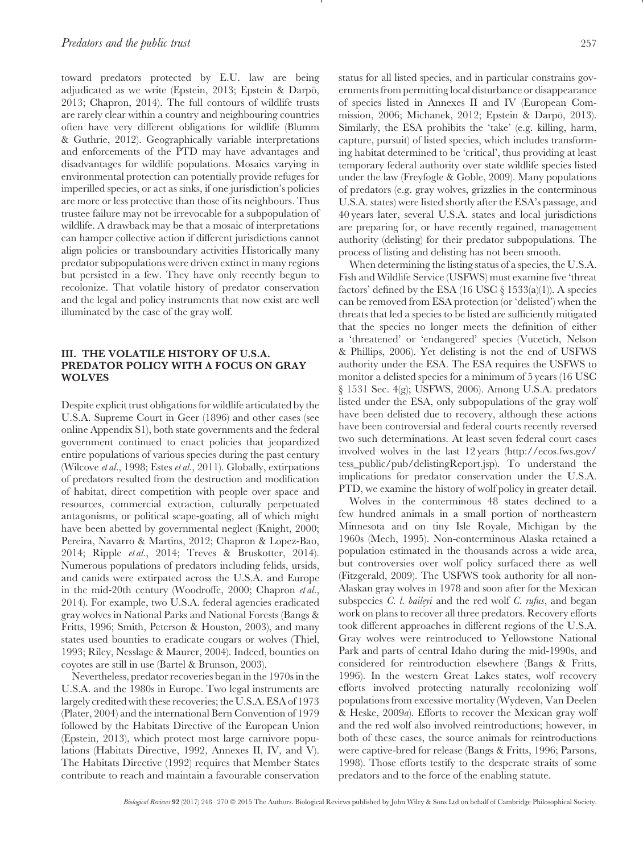toward predators protected by E.U. law are being adjudicated as we write (Epstein, 2013; Epstein & Darpo, 2013; Chapron, 2014). The full contours of wildlife trusts are rarely clear within a country and neighbouring countries often have very different obligations for wildlife (Blumm & Guthrie, 2012). Geographically variable interpretations and enforcements of the PTD may have advantages and disadvantages for wildlife populations. Mosaics varying in environmental protection can potentially provide refuges for imperilled species, or act as sinks, if one jurisdiction's policies are more or less protective than those of its neighbours. Thus trustee failure may not be irrevocable for a subpopulation of wildlife. A drawback may be that a mosaic of interpretations can hamper collective action if different jurisdictions cannot align policies or transboundary activities Historically many predator subpopulations were driven extinct in many regions but persisted in a few. They have only recently begun to recolonize. That volatile history of predator conservation and the legal and policy instruments that now exist are well illuminated by the case of the gray wolf.

# <span id="page-9-0"></span>**III. THE VOLATILE HISTORY OF U.S.A. PREDATOR POLICY WITH A FOCUS ON GRAY WOLVES**

Despite explicit trust obligations for wildlife articulated by the U.S.A. Supreme Court in Geer (1896) and other cases (see online Appendix S1), both state governments and the federal government continued to enact policies that jeopardized entire populations of various species during the past century (Wilcove *et al.*, 1998; Estes *et al.*, 2011). Globally, extirpations of predators resulted from the destruction and modification of habitat, direct competition with people over space and resources, commercial extraction, culturally perpetuated antagonisms, or political scape-goating, all of which might have been abetted by governmental neglect (Knight, 2000; Pereira, Navarro & Martins, 2012; Chapron & Lopez-Bao, 2014; Ripple *et al.*, 2014; Treves & Bruskotter, 2014). Numerous populations of predators including felids, ursids, and canids were extirpated across the U.S.A. and Europe in the mid-20th century (Woodroffe, 2000; Chapron *et al.*, 2014). For example, two U.S.A. federal agencies eradicated gray wolves in National Parks and National Forests (Bangs & Fritts, 1996; Smith, Peterson & Houston, 2003), and many states used bounties to eradicate cougars or wolves (Thiel, 1993; Riley, Nesslage & Maurer, 2004). Indeed, bounties on coyotes are still in use (Bartel & Brunson, 2003).

Nevertheless, predator recoveries began in the 1970s in the U.S.A. and the 1980s in Europe. Two legal instruments are largely credited with these recoveries; the U.S.A. ESA of 1973 (Plater, 2004) and the international Bern Convention of 1979 followed by the Habitats Directive of the European Union (Epstein, 2013), which protect most large carnivore populations (Habitats Directive, 1992, Annexes II, IV, and V). The Habitats Directive (1992) requires that Member States contribute to reach and maintain a favourable conservation status for all listed species, and in particular constrains governments from permitting local disturbance or disappearance of species listed in Annexes II and IV (European Commission, 2006; Michanek, 2012; Epstein & Darpö, 2013). Similarly, the ESA prohibits the 'take' (e.g. killing, harm, capture, pursuit) of listed species, which includes transforming habitat determined to be 'critical', thus providing at least temporary federal authority over state wildlife species listed under the law (Freyfogle & Goble, 2009). Many populations of predators (e.g. gray wolves, grizzlies in the conterminous U.S.A. states) were listed shortly after the ESA's passage, and 40 years later, several U.S.A. states and local jurisdictions are preparing for, or have recently regained, management authority (delisting) for their predator subpopulations. The process of listing and delisting has not been smooth.

When determining the listing status of a species, the U.S.A. Fish and Wildlife Service (USFWS) must examine five 'threat factors' defined by the ESA (16 USC  $\S$  1533(a)(1)). A species can be removed from ESA protection (or 'delisted') when the threats that led a species to be listed are sufficiently mitigated that the species no longer meets the definition of either a 'threatened' or 'endangered' species (Vucetich, Nelson & Phillips, 2006). Yet delisting is not the end of USFWS authority under the ESA. The ESA requires the USFWS to monitor a delisted species for a minimum of 5 years (16 USC § 1531 Sec. 4(g); USFWS, 2006). Among U.S.A. predators listed under the ESA, only subpopulations of the gray wolf have been delisted due to recovery, although these actions have been controversial and federal courts recently reversed two such determinations. At least seven federal court cases involved wolves in the last 12 years (http://ecos.fws.gov/ tess\_public/pub/delistingReport.jsp). To understand the implications for predator conservation under the U.S.A. PTD, we examine the history of wolf policy in greater detail.

Wolves in the conterminous 48 states declined to a few hundred animals in a small portion of northeastern Minnesota and on tiny Isle Royale, Michigan by the 1960s (Mech, 1995). Non-conterminous Alaska retained a population estimated in the thousands across a wide area, but controversies over wolf policy surfaced there as well (Fitzgerald, 2009). The USFWS took authority for all non-Alaskan gray wolves in 1978 and soon after for the Mexican subspecies *C. l. baileyi* and the red wolf *C. rufus*, and began work on plans to recover all three predators. Recovery efforts took different approaches in different regions of the U.S.A. Gray wolves were reintroduced to Yellowstone National Park and parts of central Idaho during the mid-1990s, and considered for reintroduction elsewhere (Bangs & Fritts, 1996). In the western Great Lakes states, wolf recovery efforts involved protecting naturally recolonizing wolf populations from excessive mortality (Wydeven, Van Deelen & Heske, 2009*a*). Efforts to recover the Mexican gray wolf and the red wolf also involved reintroductions; however, in both of these cases, the source animals for reintroductions were captive-bred for release (Bangs & Fritts, 1996; Parsons, 1998). Those efforts testify to the desperate straits of some predators and to the force of the enabling statute.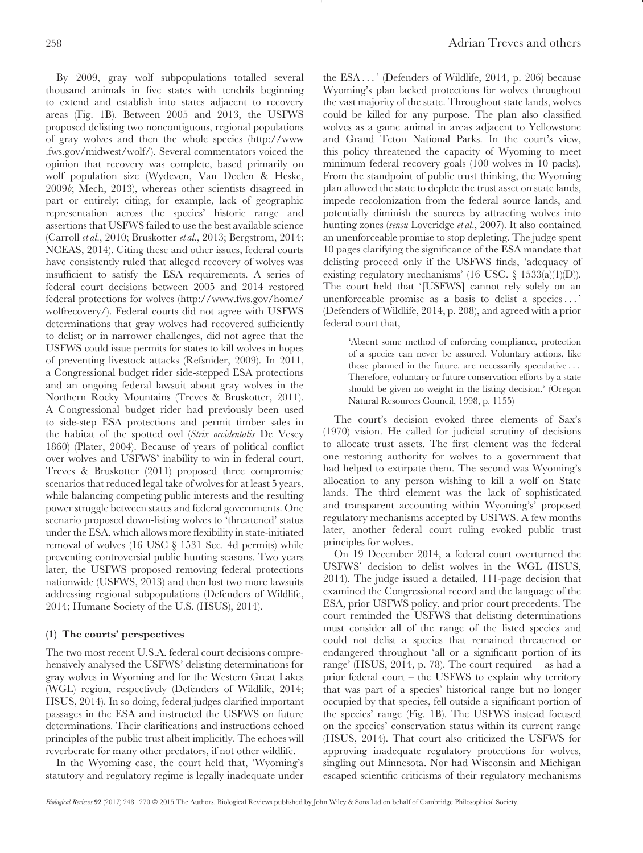By 2009, gray wolf subpopulations totalled several thousand animals in five states with tendrils beginning to extend and establish into states adjacent to recovery areas (Fig. 1B). Between 2005 and 2013, the USFWS proposed delisting two noncontiguous, regional populations of gray wolves and then the whole species [\(http://www](http://www.fws.gov/midwest/wolf/) [.fws.gov/midwest/wolf/\)](http://www.fws.gov/midwest/wolf/). Several commentators voiced the opinion that recovery was complete, based primarily on wolf population size (Wydeven, Van Deelen & Heske, 2009*b*; Mech, 2013), whereas other scientists disagreed in part or entirely; citing, for example, lack of geographic representation across the species' historic range and assertions that USFWS failed to use the best available science (Carroll *et al.*, 2010; Bruskotter *et al.*, 2013; Bergstrom, 2014; NCEAS, 2014). Citing these and other issues, federal courts have consistently ruled that alleged recovery of wolves was insufficient to satisfy the ESA requirements. A series of federal court decisions between 2005 and 2014 restored federal protections for wolves [\(http://www.fws.gov/home/](http://www.fws.gov/home/wolfrecovery/) [wolfrecovery/\)](http://www.fws.gov/home/wolfrecovery/). Federal courts did not agree with USFWS determinations that gray wolves had recovered sufficiently to delist; or in narrower challenges, did not agree that the USFWS could issue permits for states to kill wolves in hopes of preventing livestock attacks (Refsnider, 2009). In 2011, a Congressional budget rider side-stepped ESA protections and an ongoing federal lawsuit about gray wolves in the Northern Rocky Mountains (Treves & Bruskotter, 2011). A Congressional budget rider had previously been used to side-step ESA protections and permit timber sales in the habitat of the spotted owl (*Strix occidentalis* De Vesey 1860) (Plater, 2004). Because of years of political conflict over wolves and USFWS' inability to win in federal court, Treves & Bruskotter (2011) proposed three compromise scenarios that reduced legal take of wolves for at least 5 years, while balancing competing public interests and the resulting power struggle between states and federal governments. One scenario proposed down-listing wolves to 'threatened' status under the ESA, which allows more flexibility in state-initiated removal of wolves (16 USC  $\S$  1531 Sec. 4d permits) while preventing controversial public hunting seasons. Two years later, the USFWS proposed removing federal protections nationwide (USFWS, 2013) and then lost two more lawsuits addressing regional subpopulations (Defenders of Wildlife, 2014; Humane Society of the U.S. (HSUS), 2014).

#### <span id="page-10-0"></span>**(1) The courts' perspectives**

The two most recent U.S.A. federal court decisions comprehensively analysed the USFWS' delisting determinations for gray wolves in Wyoming and for the Western Great Lakes (WGL) region, respectively (Defenders of Wildlife, 2014; HSUS, 2014). In so doing, federal judges clarified important passages in the ESA and instructed the USFWS on future determinations. Their clarifications and instructions echoed principles of the public trust albeit implicitly. The echoes will reverberate for many other predators, if not other wildlife.

In the Wyoming case, the court held that, 'Wyoming's statutory and regulatory regime is legally inadequate under the ESA*...* ' (Defenders of Wildlife, 2014, p. 206) because Wyoming's plan lacked protections for wolves throughout the vast majority of the state. Throughout state lands, wolves could be killed for any purpose. The plan also classified wolves as a game animal in areas adjacent to Yellowstone and Grand Teton National Parks. In the court's view, this policy threatened the capacity of Wyoming to meet minimum federal recovery goals (100 wolves in 10 packs). From the standpoint of public trust thinking, the Wyoming plan allowed the state to deplete the trust asset on state lands, impede recolonization from the federal source lands, and potentially diminish the sources by attracting wolves into hunting zones (*sensu* Loveridge *et al.*, 2007). It also contained an unenforceable promise to stop depleting. The judge spent 10 pages clarifying the significance of the ESA mandate that delisting proceed only if the USFWS finds, 'adequacy of existing regulatory mechanisms' (16 USC.  $\S$  1533(a)(1)(D)). The court held that '[USFWS] cannot rely solely on an unenforceable promise as a basis to delist a species*...* ' (Defenders of Wildlife, 2014, p. 208), and agreed with a prior federal court that,

'Absent some method of enforcing compliance, protection of a species can never be assured. Voluntary actions, like those planned in the future, are necessarily speculative *...* Therefore, voluntary or future conservation efforts by a state should be given no weight in the listing decision.' (Oregon Natural Resources Council, 1998, p. 1155)

The court's decision evoked three elements of Sax's (1970) vision. He called for judicial scrutiny of decisions to allocate trust assets. The first element was the federal one restoring authority for wolves to a government that had helped to extirpate them. The second was Wyoming's allocation to any person wishing to kill a wolf on State lands. The third element was the lack of sophisticated and transparent accounting within Wyoming's' proposed regulatory mechanisms accepted by USFWS. A few months later, another federal court ruling evoked public trust principles for wolves.

On 19 December 2014, a federal court overturned the USFWS' decision to delist wolves in the WGL (HSUS, 2014). The judge issued a detailed, 111-page decision that examined the Congressional record and the language of the ESA, prior USFWS policy, and prior court precedents. The court reminded the USFWS that delisting determinations must consider all of the range of the listed species and could not delist a species that remained threatened or endangered throughout 'all or a significant portion of its range' (HSUS, 2014, p. 78). The court required – as had a prior federal court – the USFWS to explain why territory that was part of a species' historical range but no longer occupied by that species, fell outside a significant portion of the species' range (Fig. 1B). The USFWS instead focused on the species' conservation status within its current range (HSUS, 2014). That court also criticized the USFWS for approving inadequate regulatory protections for wolves, singling out Minnesota. Nor had Wisconsin and Michigan escaped scientific criticisms of their regulatory mechanisms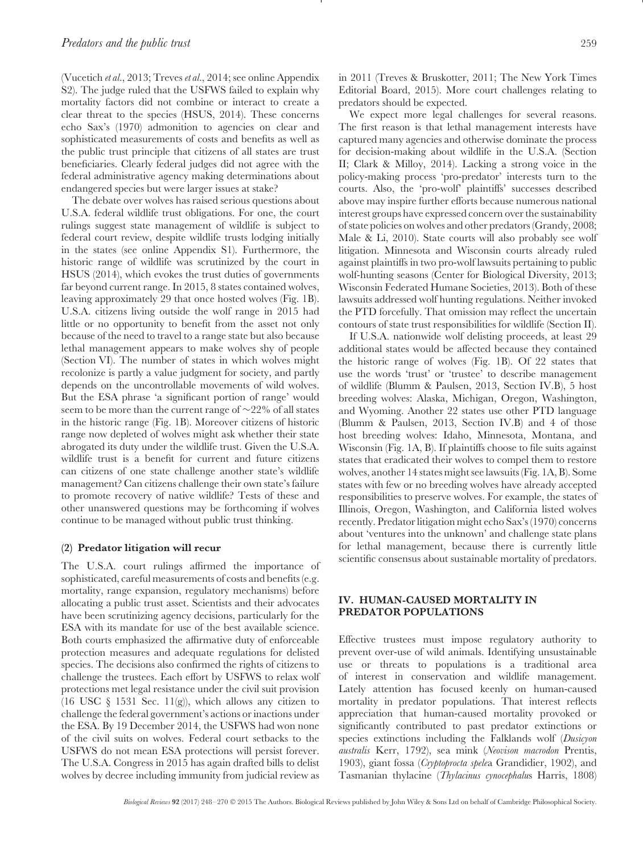(Vucetich *et al.*, 2013; Treves *et al.*, 2014; see online Appendix S2). The judge ruled that the USFWS failed to explain why mortality factors did not combine or interact to create a clear threat to the species (HSUS, 2014). These concerns echo Sax's (1970) admonition to agencies on clear and sophisticated measurements of costs and benefits as well as the public trust principle that citizens of all states are trust beneficiaries. Clearly federal judges did not agree with the federal administrative agency making determinations about endangered species but were larger issues at stake?

The debate over wolves has raised serious questions about U.S.A. federal wildlife trust obligations. For one, the court rulings suggest state management of wildlife is subject to federal court review, despite wildlife trusts lodging initially in the states (see online Appendix S1). Furthermore, the historic range of wildlife was scrutinized by the court in HSUS (2014), which evokes the trust duties of governments far beyond current range. In 2015, 8 states contained wolves, leaving approximately 29 that once hosted wolves (Fig. 1B). U.S.A. citizens living outside the wolf range in 2015 had little or no opportunity to benefit from the asset not only because of the need to travel to a range state but also because lethal management appears to make wolves shy of people (Section VI). The number of states in which wolves might recolonize is partly a value judgment for society, and partly depends on the uncontrollable movements of wild wolves. But the ESA phrase 'a significant portion of range' would seem to be more than the current range of ∼22% of all states in the historic range (Fig. 1B). Moreover citizens of historic range now depleted of wolves might ask whether their state abrogated its duty under the wildlife trust. Given the U.S.A. wildlife trust is a benefit for current and future citizens can citizens of one state challenge another state's wildlife management? Can citizens challenge their own state's failure to promote recovery of native wildlife? Tests of these and other unanswered questions may be forthcoming if wolves continue to be managed without public trust thinking.

#### <span id="page-11-0"></span>**(2) Predator litigation will recur**

The U.S.A. court rulings affirmed the importance of sophisticated, careful measurements of costs and benefits (e.g. mortality, range expansion, regulatory mechanisms) before allocating a public trust asset. Scientists and their advocates have been scrutinizing agency decisions, particularly for the ESA with its mandate for use of the best available science. Both courts emphasized the affirmative duty of enforceable protection measures and adequate regulations for delisted species. The decisions also confirmed the rights of citizens to challenge the trustees. Each effort by USFWS to relax wolf protections met legal resistance under the civil suit provision (16 USC  $\S$  1531 Sec. 11(g)), which allows any citizen to challenge the federal government's actions or inactions under the ESA. By 19 December 2014, the USFWS had won none of the civil suits on wolves. Federal court setbacks to the USFWS do not mean ESA protections will persist forever. The U.S.A. Congress in 2015 has again drafted bills to delist wolves by decree including immunity from judicial review as

in 2011 (Treves & Bruskotter, 2011; The New York Times Editorial Board, 2015). More court challenges relating to predators should be expected.

We expect more legal challenges for several reasons. The first reason is that lethal management interests have captured many agencies and otherwise dominate the process for decision-making about wildlife in the U.S.A. (Section II; Clark & Milloy, 2014). Lacking a strong voice in the policy-making process 'pro-predator' interests turn to the courts. Also, the 'pro-wolf' plaintiffs' successes described above may inspire further efforts because numerous national interest groups have expressed concern over the sustainability of state policies on wolves and other predators (Grandy, 2008; Male & Li, 2010). State courts will also probably see wolf litigation. Minnesota and Wisconsin courts already ruled against plaintiffs in two pro-wolf lawsuits pertaining to public wolf-hunting seasons (Center for Biological Diversity, 2013; Wisconsin Federated Humane Societies, 2013). Both of these lawsuits addressed wolf hunting regulations. Neither invoked the PTD forcefully. That omission may reflect the uncertain contours of state trust responsibilities for wildlife (Section II).

If U.S.A. nationwide wolf delisting proceeds, at least 29 additional states would be affected because they contained the historic range of wolves (Fig. 1B). Of 22 states that use the words 'trust' or 'trustee' to describe management of wildlife (Blumm & Paulsen, 2013, Section IV.B), 5 host breeding wolves: Alaska, Michigan, Oregon, Washington, and Wyoming. Another 22 states use other PTD language (Blumm & Paulsen, 2013, Section IV.B) and 4 of those host breeding wolves: Idaho, Minnesota, Montana, and Wisconsin (Fig. 1A, B). If plaintiffs choose to file suits against states that eradicated their wolves to compel them to restore wolves, another 14 states might see lawsuits (Fig. 1A, B). Some states with few or no breeding wolves have already accepted responsibilities to preserve wolves. For example, the states of Illinois, Oregon, Washington, and California listed wolves recently. Predator litigation might echo Sax's (1970) concerns about 'ventures into the unknown' and challenge state plans for lethal management, because there is currently little scientific consensus about sustainable mortality of predators.

#### <span id="page-11-1"></span>**IV. HUMAN-CAUSED MORTALITY IN PREDATOR POPULATIONS**

Effective trustees must impose regulatory authority to prevent over-use of wild animals. Identifying unsustainable use or threats to populations is a traditional area of interest in conservation and wildlife management. Lately attention has focused keenly on human-caused mortality in predator populations. That interest reflects appreciation that human-caused mortality provoked or significantly contributed to past predator extinctions or species extinctions including the Falklands wolf (*Dusicyon australis* Kerr, 1792), sea mink (*Neovison macrodon* Prentis, 1903), giant fossa (*Cryptoprocta spele*a Grandidier, 1902), and Tasmanian thylacine (*Thylacinus cynocephalu*s Harris, 1808)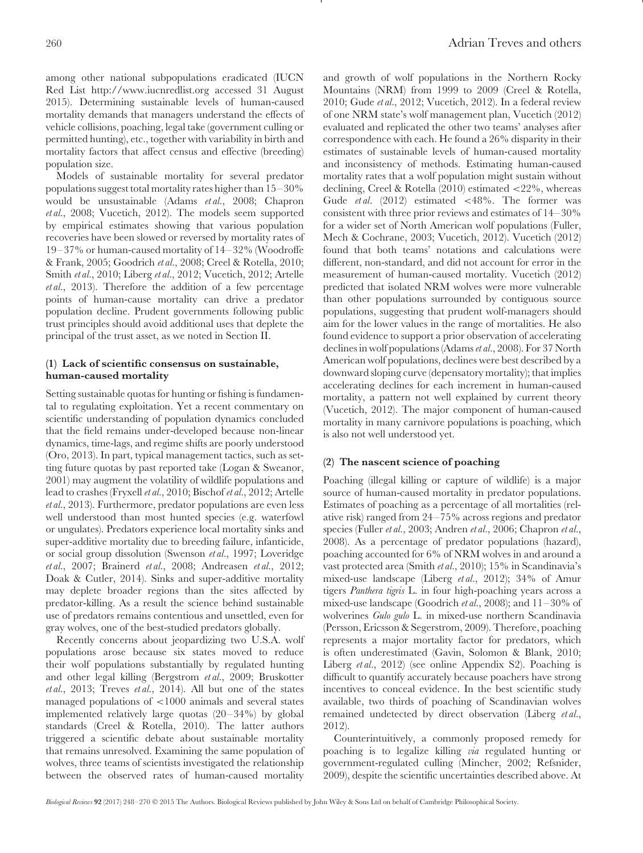among other national subpopulations eradicated (IUCN Red List<http://www.iucnredlist.org> accessed 31 August 2015). Determining sustainable levels of human-caused mortality demands that managers understand the effects of vehicle collisions, poaching, legal take (government culling or permitted hunting), etc., together with variability in birth and mortality factors that affect census and effective (breeding) population size.

Models of sustainable mortality for several predator populations suggest total mortality rates higher than 15–30% would be unsustainable (Adams *et al.*, 2008; Chapron *et al.*, 2008; Vucetich, 2012). The models seem supported by empirical estimates showing that various population recoveries have been slowed or reversed by mortality rates of 19–37% or human-caused mortality of 14–32% (Woodroffe & Frank, 2005; Goodrich *et al.*, 2008; Creel & Rotella, 2010; Smith *et al.*, 2010; Liberg *et al.*, 2012; Vucetich, 2012; Artelle *et al.*, 2013). Therefore the addition of a few percentage points of human-cause mortality can drive a predator population decline. Prudent governments following public trust principles should avoid additional uses that deplete the principal of the trust asset, as we noted in Section II.

## <span id="page-12-0"></span>**(1) Lack of scientific consensus on sustainable, human-caused mortality**

Setting sustainable quotas for hunting or fishing is fundamental to regulating exploitation. Yet a recent commentary on scientific understanding of population dynamics concluded that the field remains under-developed because non-linear dynamics, time-lags, and regime shifts are poorly understood (Oro, 2013). In part, typical management tactics, such as setting future quotas by past reported take (Logan & Sweanor, 2001) may augment the volatility of wildlife populations and lead to crashes (Fryxell *et al.*, 2010; Bischof *et al.*, 2012; Artelle *et al.*, 2013). Furthermore, predator populations are even less well understood than most hunted species (e.g. waterfowl or ungulates). Predators experience local mortality sinks and super-additive mortality due to breeding failure, infanticide, or social group dissolution (Swenson *et al.*, 1997; Loveridge *et al.*, 2007; Brainerd *et al.*, 2008; Andreasen *et al.*, 2012; Doak & Cutler, 2014). Sinks and super-additive mortality may deplete broader regions than the sites affected by predator-killing. As a result the science behind sustainable use of predators remains contentious and unsettled, even for gray wolves, one of the best-studied predators globally.

Recently concerns about jeopardizing two U.S.A. wolf populations arose because six states moved to reduce their wolf populations substantially by regulated hunting and other legal killing (Bergstrom *et al.*, 2009; Bruskotter *et al.*, 2013; Treves *et al.*, 2014). All but one of the states managed populations of *<*1000 animals and several states implemented relatively large quotas (20–34%) by global standards (Creel & Rotella, 2010). The latter authors triggered a scientific debate about sustainable mortality that remains unresolved. Examining the same population of wolves, three teams of scientists investigated the relationship between the observed rates of human-caused mortality and growth of wolf populations in the Northern Rocky Mountains (NRM) from 1999 to 2009 (Creel & Rotella, 2010; Gude *et al.*, 2012; Vucetich, 2012). In a federal review of one NRM state's wolf management plan, Vucetich (2012) evaluated and replicated the other two teams' analyses after correspondence with each. He found a 26% disparity in their estimates of sustainable levels of human-caused mortality and inconsistency of methods. Estimating human-caused mortality rates that a wolf population might sustain without declining, Creel & Rotella (2010) estimated *<*22%, whereas Gude *et al.* (2012) estimated *<*48%. The former was consistent with three prior reviews and estimates of 14–30% for a wider set of North American wolf populations (Fuller, Mech & Cochrane, 2003; Vucetich, 2012). Vucetich (2012) found that both teams' notations and calculations were different, non-standard, and did not account for error in the measurement of human-caused mortality. Vucetich (2012) predicted that isolated NRM wolves were more vulnerable than other populations surrounded by contiguous source populations, suggesting that prudent wolf-managers should aim for the lower values in the range of mortalities. He also found evidence to support a prior observation of accelerating declines in wolf populations (Adams*et al.*, 2008). For 37 North American wolf populations, declines were best described by a downward sloping curve (depensatory mortality); that implies accelerating declines for each increment in human-caused mortality, a pattern not well explained by current theory (Vucetich, 2012). The major component of human-caused mortality in many carnivore populations is poaching, which is also not well understood yet.

## <span id="page-12-1"></span>**(2) The nascent science of poaching**

Poaching (illegal killing or capture of wildlife) is a major source of human-caused mortality in predator populations. Estimates of poaching as a percentage of all mortalities (relative risk) ranged from 24–75% across regions and predator species (Fuller *et al.*, 2003; Andren *et al.*, 2006; Chapron *et al.*, 2008). As a percentage of predator populations (hazard), poaching accounted for 6% of NRM wolves in and around a vast protected area (Smith *et al.*, 2010); 15% in Scandinavia's mixed-use landscape (Liberg *et al.*, 2012); 34% of Amur tigers *Panthera tigris* L. in four high-poaching years across a mixed-use landscape (Goodrich *et al.*, 2008); and 11–30% of wolverines *Gulo gulo* L. in mixed-use northern Scandinavia (Persson, Ericsson & Segerstrom, 2009). Therefore, poaching represents a major mortality factor for predators, which is often underestimated (Gavin, Solomon & Blank, 2010; Liberg *et al.*, 2012) (see online Appendix S2). Poaching is difficult to quantify accurately because poachers have strong incentives to conceal evidence. In the best scientific study available, two thirds of poaching of Scandinavian wolves remained undetected by direct observation (Liberg *et al.*, 2012).

Counterintuitively, a commonly proposed remedy for poaching is to legalize killing *via* regulated hunting or government-regulated culling (Mincher, 2002; Refsnider, 2009), despite the scientific uncertainties described above. At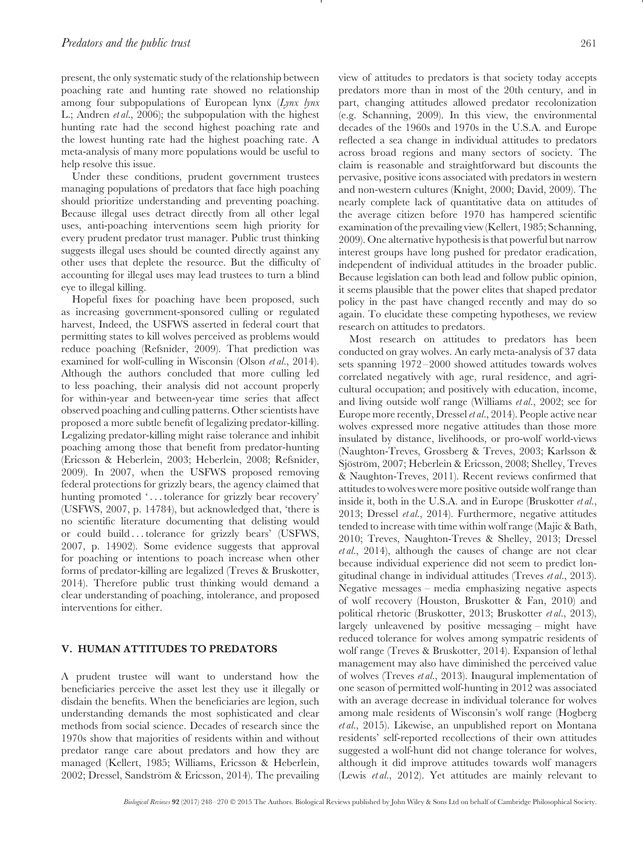present, the only systematic study of the relationship between poaching rate and hunting rate showed no relationship among four subpopulations of European lynx (*Lynx lynx* L.; Andren *et al.*, 2006); the subpopulation with the highest hunting rate had the second highest poaching rate and the lowest hunting rate had the highest poaching rate. A meta-analysis of many more populations would be useful to help resolve this issue.

Under these conditions, prudent government trustees managing populations of predators that face high poaching should prioritize understanding and preventing poaching. Because illegal uses detract directly from all other legal uses, anti-poaching interventions seem high priority for every prudent predator trust manager. Public trust thinking suggests illegal uses should be counted directly against any other uses that deplete the resource. But the difficulty of accounting for illegal uses may lead trustees to turn a blind eye to illegal killing.

Hopeful fixes for poaching have been proposed, such as increasing government-sponsored culling or regulated harvest, Indeed, the USFWS asserted in federal court that permitting states to kill wolves perceived as problems would reduce poaching (Refsnider, 2009). That prediction was examined for wolf-culling in Wisconsin (Olson *et al.*, 2014). Although the authors concluded that more culling led to less poaching, their analysis did not account properly for within-year and between-year time series that affect observed poaching and culling patterns. Other scientists have proposed a more subtle benefit of legalizing predator-killing. Legalizing predator-killing might raise tolerance and inhibit poaching among those that benefit from predator-hunting (Ericsson & Heberlein, 2003; Heberlein, 2008; Refsnider, 2009). In 2007, when the USFWS proposed removing federal protections for grizzly bears, the agency claimed that hunting promoted '...tolerance for grizzly bear recovery' (USFWS, 2007, p. 14784), but acknowledged that, 'there is no scientific literature documenting that delisting would or could build *...* tolerance for grizzly bears' (USFWS, 2007, p. 14902). Some evidence suggests that approval for poaching or intentions to poach increase when other forms of predator-killing are legalized (Treves & Bruskotter, 2014). Therefore public trust thinking would demand a clear understanding of poaching, intolerance, and proposed interventions for either.

### <span id="page-13-0"></span>**V. HUMAN ATTITUDES TO PREDATORS**

A prudent trustee will want to understand how the beneficiaries perceive the asset lest they use it illegally or disdain the benefits. When the beneficiaries are legion, such understanding demands the most sophisticated and clear methods from social science. Decades of research since the 1970s show that majorities of residents within and without predator range care about predators and how they are managed (Kellert, 1985; Williams, Ericsson & Heberlein, 2002; Dressel, Sandström & Ericsson, 2014). The prevailing view of attitudes to predators is that society today accepts predators more than in most of the 20th century, and in part, changing attitudes allowed predator recolonization (e.g. Schanning, 2009). In this view, the environmental decades of the 1960s and 1970s in the U.S.A. and Europe reflected a sea change in individual attitudes to predators across broad regions and many sectors of society. The claim is reasonable and straightforward but discounts the pervasive, positive icons associated with predators in western and non-western cultures (Knight, 2000; David, 2009). The nearly complete lack of quantitative data on attitudes of the average citizen before 1970 has hampered scientific examination of the prevailing view (Kellert, 1985; Schanning, 2009). One alternative hypothesis is that powerful but narrow interest groups have long pushed for predator eradication, independent of individual attitudes in the broader public. Because legislation can both lead and follow public opinion, it seems plausible that the power elites that shaped predator policy in the past have changed recently and may do so again. To elucidate these competing hypotheses, we review research on attitudes to predators.

Most research on attitudes to predators has been conducted on gray wolves. An early meta-analysis of 37 data sets spanning 1972–2000 showed attitudes towards wolves correlated negatively with age, rural residence, and agricultural occupation; and positively with education, income, and living outside wolf range (Williams *et al.*, 2002; see for Europe more recently, Dressel *et al.*, 2014). People active near wolves expressed more negative attitudes than those more insulated by distance, livelihoods, or pro-wolf world-views (Naughton-Treves, Grossberg & Treves, 2003; Karlsson & Sjöström, 2007; Heberlein & Ericsson, 2008; Shelley, Treves & Naughton-Treves, 2011). Recent reviews confirmed that attitudes to wolves were more positive outside wolf range than inside it, both in the U.S.A. and in Europe (Bruskotter *et al.*, 2013; Dressel *et al.*, 2014). Furthermore, negative attitudes tended to increase with time within wolf range (Majic & Bath, 2010; Treves, Naughton-Treves & Shelley, 2013; Dressel *et al.*, 2014), although the causes of change are not clear because individual experience did not seem to predict longitudinal change in individual attitudes (Treves *et al.*, 2013). Negative messages – media emphasizing negative aspects of wolf recovery (Houston, Bruskotter & Fan, 2010) and political rhetoric (Bruskotter, 2013; Bruskotter *et al.*, 2013), largely unleavened by positive messaging – might have reduced tolerance for wolves among sympatric residents of wolf range (Treves & Bruskotter, 2014). Expansion of lethal management may also have diminished the perceived value of wolves (Treves *et al.*, 2013). Inaugural implementation of one season of permitted wolf-hunting in 2012 was associated with an average decrease in individual tolerance for wolves among male residents of Wisconsin's wolf range (Hogberg *et al.*, 2015). Likewise, an unpublished report on Montana residents' self-reported recollections of their own attitudes suggested a wolf-hunt did not change tolerance for wolves, although it did improve attitudes towards wolf managers (Lewis *et al.*, 2012). Yet attitudes are mainly relevant to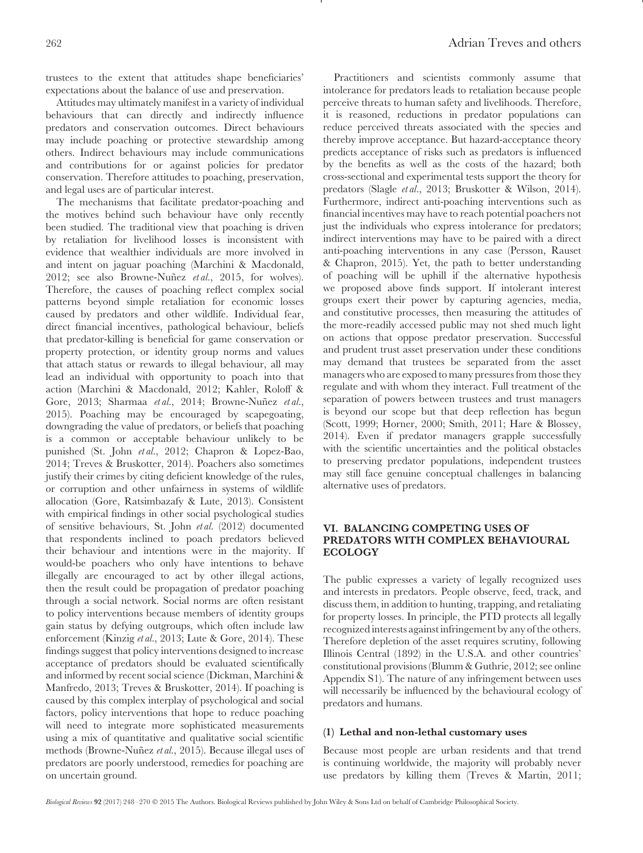trustees to the extent that attitudes shape beneficiaries' expectations about the balance of use and preservation.

Attitudes may ultimately manifest in a variety of individual behaviours that can directly and indirectly influence predators and conservation outcomes. Direct behaviours may include poaching or protective stewardship among others. Indirect behaviours may include communications and contributions for or against policies for predator conservation. Therefore attitudes to poaching, preservation, and legal uses are of particular interest.

The mechanisms that facilitate predator-poaching and the motives behind such behaviour have only recently been studied. The traditional view that poaching is driven by retaliation for livelihood losses is inconsistent with evidence that wealthier individuals are more involved in and intent on jaguar poaching (Marchini & Macdonald, 2012; see also Browne-Nuñez et al., 2015, for wolves). Therefore, the causes of poaching reflect complex social patterns beyond simple retaliation for economic losses caused by predators and other wildlife. Individual fear, direct financial incentives, pathological behaviour, beliefs that predator-killing is beneficial for game conservation or property protection, or identity group norms and values that attach status or rewards to illegal behaviour, all may lead an individual with opportunity to poach into that action (Marchini & Macdonald, 2012; Kahler, Roloff & Gore, 2013; Sharmaa et al., 2014; Browne-Nuñez et al., 2015). Poaching may be encouraged by scapegoating, downgrading the value of predators, or beliefs that poaching is a common or acceptable behaviour unlikely to be punished (St. John *et al.*, 2012; Chapron & Lopez-Bao, 2014; Treves & Bruskotter, 2014). Poachers also sometimes justify their crimes by citing deficient knowledge of the rules, or corruption and other unfairness in systems of wildlife allocation (Gore, Ratsimbazafy & Lute, 2013). Consistent with empirical findings in other social psychological studies of sensitive behaviours, St. John *et al.* (2012) documented that respondents inclined to poach predators believed their behaviour and intentions were in the majority. If would-be poachers who only have intentions to behave illegally are encouraged to act by other illegal actions, then the result could be propagation of predator poaching through a social network. Social norms are often resistant to policy interventions because members of identity groups gain status by defying outgroups, which often include law enforcement (Kinzig *et al.*, 2013; Lute & Gore, 2014). These findings suggest that policy interventions designed to increase acceptance of predators should be evaluated scientifically and informed by recent social science (Dickman, Marchini & Manfredo, 2013; Treves & Bruskotter, 2014). If poaching is caused by this complex interplay of psychological and social factors, policy interventions that hope to reduce poaching will need to integrate more sophisticated measurements using a mix of quantitative and qualitative social scientific methods (Browne-Nuñez et al., 2015). Because illegal uses of predators are poorly understood, remedies for poaching are on uncertain ground.

Practitioners and scientists commonly assume that intolerance for predators leads to retaliation because people perceive threats to human safety and livelihoods. Therefore, it is reasoned, reductions in predator populations can reduce perceived threats associated with the species and thereby improve acceptance. But hazard-acceptance theory predicts acceptance of risks such as predators is influenced by the benefits as well as the costs of the hazard; both cross-sectional and experimental tests support the theory for predators (Slagle *et al.*, 2013; Bruskotter & Wilson, 2014). Furthermore, indirect anti-poaching interventions such as financial incentives may have to reach potential poachers not just the individuals who express intolerance for predators; indirect interventions may have to be paired with a direct anti-poaching interventions in any case (Persson, Rauset & Chapron, 2015). Yet, the path to better understanding of poaching will be uphill if the alternative hypothesis we proposed above finds support. If intolerant interest groups exert their power by capturing agencies, media, and constitutive processes, then measuring the attitudes of the more-readily accessed public may not shed much light on actions that oppose predator preservation. Successful and prudent trust asset preservation under these conditions may demand that trustees be separated from the asset managers who are exposed to many pressures from those they regulate and with whom they interact. Full treatment of the separation of powers between trustees and trust managers is beyond our scope but that deep reflection has begun (Scott, 1999; Horner, 2000; Smith, 2011; Hare & Blossey, 2014). Even if predator managers grapple successfully with the scientific uncertainties and the political obstacles to preserving predator populations, independent trustees may still face genuine conceptual challenges in balancing alternative uses of predators.

## <span id="page-14-0"></span>**VI. BALANCING COMPETING USES OF PREDATORS WITH COMPLEX BEHAVIOURAL ECOLOGY**

The public expresses a variety of legally recognized uses and interests in predators. People observe, feed, track, and discuss them, in addition to hunting, trapping, and retaliating for property losses. In principle, the PTD protects all legally recognized interests against infringement by any of the others. Therefore depletion of the asset requires scrutiny, following Illinois Central (1892) in the U.S.A. and other countries' constitutional provisions (Blumm & Guthrie, 2012; see online Appendix S1). The nature of any infringement between uses will necessarily be influenced by the behavioural ecology of predators and humans.

#### <span id="page-14-1"></span>**(1) Lethal and non-lethal customary uses**

Because most people are urban residents and that trend is continuing worldwide, the majority will probably never use predators by killing them (Treves & Martin, 2011;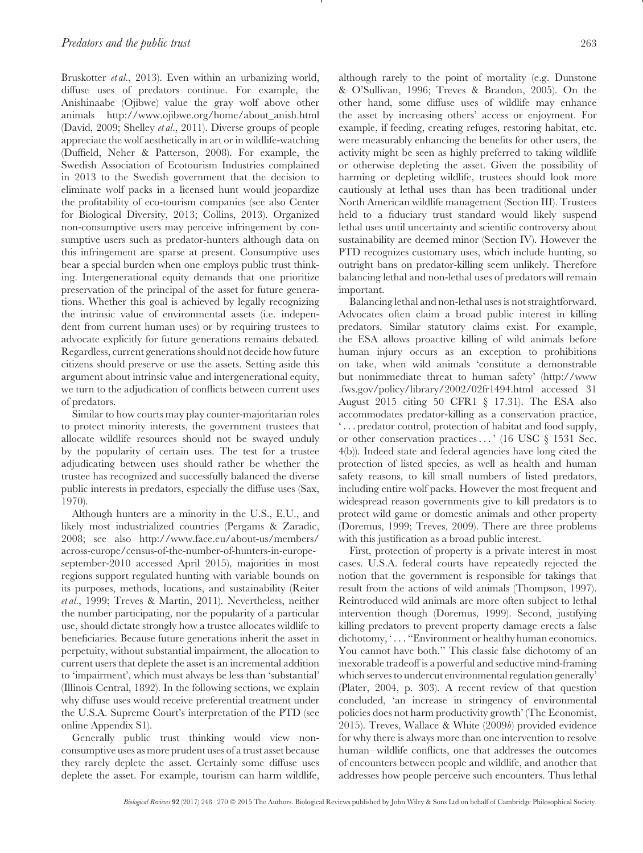Bruskotter *et al.*, 2013). Even within an urbanizing world, diffuse uses of predators continue. For example, the Anishinaabe (Ojibwe) value the gray wolf above other animals [http://www.ojibwe.org/home/about\\_anish.html](http://www.ojibwe.org/home/about&uscore;anish.html) (David, 2009; Shelley *et al.*, 2011). Diverse groups of people appreciate the wolf aesthetically in art or in wildlife-watching (Duffield, Neher & Patterson, 2008). For example, the Swedish Association of Ecotourism Industries complained in 2013 to the Swedish government that the decision to eliminate wolf packs in a licensed hunt would jeopardize the profitability of eco-tourism companies (see also Center for Biological Diversity, 2013; Collins, 2013). Organized non-consumptive users may perceive infringement by consumptive users such as predator-hunters although data on this infringement are sparse at present. Consumptive uses bear a special burden when one employs public trust thinking. Intergenerational equity demands that one prioritize preservation of the principal of the asset for future generations. Whether this goal is achieved by legally recognizing the intrinsic value of environmental assets (i.e. independent from current human uses) or by requiring trustees to advocate explicitly for future generations remains debated. Regardless, current generations should not decide how future citizens should preserve or use the assets. Setting aside this argument about intrinsic value and intergenerational equity, we turn to the adjudication of conflicts between current uses of predators.

Similar to how courts may play counter-majoritarian roles to protect minority interests, the government trustees that allocate wildlife resources should not be swayed unduly by the popularity of certain uses. The test for a trustee adjudicating between uses should rather be whether the trustee has recognized and successfully balanced the diverse public interests in predators, especially the diffuse uses (Sax, 1970).

Although hunters are a minority in the U.S., E.U., and likely most industrialized countries (Pergams & Zaradic, 2008; see also http://www.face.eu/about-us/members/ across-europe/c[en](http://www.face.eu/about-us/members/across-europe/census-of-the-number-of-hunters-in-europe-september-2010)sus-of-the-number-of-hunters-in-europeseptember-2010 accessed April 2015), majorities in most regions support regulated hunting with variable bounds on its purposes, methods, locations, and sustainability (Reiter *et al.*, 1999; Treves & Martin, 2011). Nevertheless, neither the number participating, nor the popularity of a particular use, should dictate strongly how a trustee allocates wildlife to beneficiaries. Because future generations inherit the asset in perpetuity, without substantial impairment, the allocation to current users that deplete the asset is an incremental addition to 'impairment', which must always be less than 'substantial' (Illinois Central, 1892). In the following sections, we explain why diffuse uses would receive preferential treatment under the U.S.A. Supreme Court's interpretation of the PTD (see online Appendix S1).

Generally public trust thinking would view nonconsumptive uses as more prudent uses of a trust asset because they rarely deplete the asset. Certainly some diffuse uses deplete the asset. For example, tourism can harm wildlife, although rarely to the point of mortality (e.g. Dunstone & O'Sullivan, 1996; Treves & Brandon, 2005). On the other hand, some diffuse uses of wildlife may enhance the asset by increasing others' access or enjoyment. For example, if feeding, creating refuges, restoring habitat, etc. were measurably enhancing the benefits for other users, the activity might be seen as highly preferred to taking wildlife or otherwise depleting the asset. Given the possibility of harming or depleting wildlife, trustees should look more cautiously at lethal uses than has been traditional under North American wildlife management (Section III). Trustees held to a fiduciary trust standard would likely suspend lethal uses until uncertainty and scientific controversy about sustainability are deemed minor (Section IV). However the PTD recognizes customary uses, which include hunting, so outright bans on predator-killing seem unlikely. Therefore balancing lethal and non-lethal uses of predators will remain important.

Balancing lethal and non-lethal uses is not straightforward. Advocates often claim a broad public interest in killing predators. Similar statutory claims exist. For example, the ESA allows proactive killing of wild animals before human injury occurs as an exception to prohibitions on take, when wild animals 'constitute a demonstrable but nonimmediate threat to human safety' [\(http://www](http://www.fws.gov/policy/library/2002/02fr1494.html) [.fws.gov/policy/library/2002/02fr1494.html](http://www.fws.gov/policy/library/2002/02fr1494.html) accessed 31 August 2015 citing 50 CFR1 § 17.31). The ESA also accommodates predator-killing as a conservation practice, ' *...* predator control, protection of habitat and food supply, or other conservation practices *...* ' (16 USC § 1531 Sec. 4(b)). Indeed state and federal agencies have long cited the protection of listed species, as well as health and human safety reasons, to kill small numbers of listed predators, including entire wolf packs. However the most frequent and widespread reason governments give to kill predators is to protect wild game or domestic animals and other property (Doremus, 1999; Treves, 2009). There are three problems with this justification as a broad public interest.

First, protection of property is a private interest in most cases. U.S.A. federal courts have repeatedly rejected the notion that the government is responsible for takings that result from the actions of wild animals (Thompson, 1997). Reintroduced wild animals are more often subject to lethal intervention though (Doremus, 1999). Second, justifying killing predators to prevent property damage erects a false dichotomy, '... "Environment or healthy human economics. You cannot have both.'' This classic false dichotomy of an inexorable tradeoff is a powerful and seductive mind-framing which serves to undercut environmental regulation generally' (Plater, 2004, p. 303). A recent review of that question concluded, 'an increase in stringency of environmental policies does not harm productivity growth' (The Economist, 2015). Treves, Wallace & White (2009*b*) provided evidence for why there is always more than one intervention to resolve human–wildlife conflicts, one that addresses the outcomes of encounters between people and wildlife, and another that addresses how people perceive such encounters. Thus lethal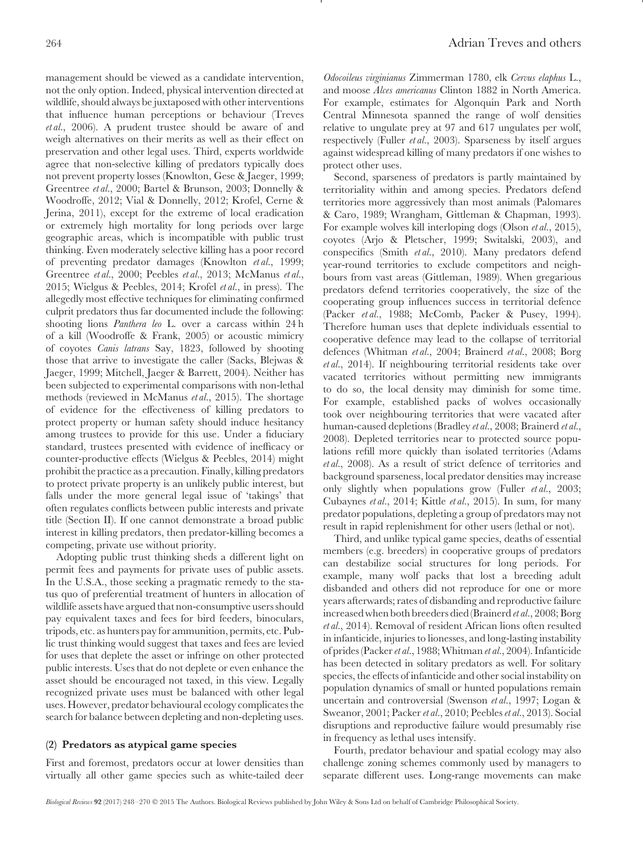management should be viewed as a candidate intervention, not the only option. Indeed, physical intervention directed at wildlife, should always be juxtaposed with other interventions that influence human perceptions or behaviour (Treves *et al.*, 2006). A prudent trustee should be aware of and weigh alternatives on their merits as well as their effect on preservation and other legal uses. Third, experts worldwide agree that non-selective killing of predators typically does not prevent property losses (Knowlton, Gese & Jaeger, 1999; Greentree *et al.*, 2000; Bartel & Brunson, 2003; Donnelly & Woodroffe, 2012; Vial & Donnelly, 2012; Krofel, Cerne & Jerina, 2011), except for the extreme of local eradication or extremely high mortality for long periods over large geographic areas, which is incompatible with public trust thinking. Even moderately selective killing has a poor record of preventing predator damages (Knowlton *et al.*, 1999; Greentree *et al.*, 2000; Peebles *et al.*, 2013; McManus *et al.*, 2015; Wielgus & Peebles, 2014; Krofel *et al.*, in press). The allegedly most effective techniques for eliminating confirmed culprit predators thus far documented include the following: shooting lions *Panthera leo* L. over a carcass within 24 h of a kill (Woodroffe & Frank, 2005) or acoustic mimicry of coyotes *Canis latrans* Say, 1823, followed by shooting those that arrive to investigate the caller (Sacks, Blejwas & Jaeger, 1999; Mitchell, Jaeger & Barrett, 2004). Neither has been subjected to experimental comparisons with non-lethal methods (reviewed in McManus *et al.*, 2015). The shortage of evidence for the effectiveness of killing predators to protect property or human safety should induce hesitancy among trustees to provide for this use. Under a fiduciary standard, trustees presented with evidence of inefficacy or counter-productive effects (Wielgus & Peebles, 2014) might prohibit the practice as a precaution. Finally, killing predators to protect private property is an unlikely public interest, but falls under the more general legal issue of 'takings' that often regulates conflicts between public interests and private title (Section II). If one cannot demonstrate a broad public interest in killing predators, then predator-killing becomes a competing, private use without priority.

Adopting public trust thinking sheds a different light on permit fees and payments for private uses of public assets. In the U.S.A., those seeking a pragmatic remedy to the status quo of preferential treatment of hunters in allocation of wildlife assets have argued that non-consumptive users should pay equivalent taxes and fees for bird feeders, binoculars, tripods, etc. as hunters pay for ammunition, permits, etc. Public trust thinking would suggest that taxes and fees are levied for uses that deplete the asset or infringe on other protected public interests. Uses that do not deplete or even enhance the asset should be encouraged not taxed, in this view. Legally recognized private uses must be balanced with other legal uses. However, predator behavioural ecology complicates the search for balance between depleting and non-depleting uses.

#### <span id="page-16-0"></span>**(2) Predators as atypical game species**

First and foremost, predators occur at lower densities than virtually all other game species such as white-tailed deer *Odocoileus virginianus* Zimmerman 1780, elk *Cervus elaphus* L., and moose *Alces americanus* Clinton 1882 in North America. For example, estimates for Algonquin Park and North Central Minnesota spanned the range of wolf densities relative to ungulate prey at 97 and 617 ungulates per wolf, respectively (Fuller *et al.*, 2003). Sparseness by itself argues against widespread killing of many predators if one wishes to protect other uses.

Second, sparseness of predators is partly maintained by territoriality within and among species. Predators defend territories more aggressively than most animals (Palomares & Caro, 1989; Wrangham, Gittleman & Chapman, 1993). For example wolves kill interloping dogs (Olson *et al.*, 2015), coyotes (Arjo & Pletscher, 1999; Switalski, 2003), and conspecifics (Smith *et al.*, 2010). Many predators defend year-round territories to exclude competitors and neighbours from vast areas (Gittleman, 1989). When gregarious predators defend territories cooperatively, the size of the cooperating group influences success in territorial defence (Packer *et al.*, 1988; McComb, Packer & Pusey, 1994). Therefore human uses that deplete individuals essential to cooperative defence may lead to the collapse of territorial defences (Whitman *et al.*, 2004; Brainerd *et al.*, 2008; Borg *et al.*, 2014). If neighbouring territorial residents take over vacated territories without permitting new immigrants to do so, the local density may diminish for some time. For example, established packs of wolves occasionally took over neighbouring territories that were vacated after human-caused depletions (Bradley *et al.*, 2008; Brainerd *et al.*, 2008). Depleted territories near to protected source populations refill more quickly than isolated territories (Adams *et al.*, 2008). As a result of strict defence of territories and background sparseness, local predator densities may increase only slightly when populations grow (Fuller *et al.*, 2003; Cubaynes *et al.*, 2014; Kittle *et al.*, 2015). In sum, for many predator populations, depleting a group of predators may not result in rapid replenishment for other users (lethal or not).

Third, and unlike typical game species, deaths of essential members (e.g. breeders) in cooperative groups of predators can destabilize social structures for long periods. For example, many wolf packs that lost a breeding adult disbanded and others did not reproduce for one or more years afterwards; rates of disbanding and reproductive failure increased when both breeders died (Brainerd *et al.*, 2008; Borg *et al.*, 2014). Removal of resident African lions often resulted in infanticide, injuries to lionesses, and long-lasting instability of prides (Packer*et al.*, 1988; Whitman *et al.*, 2004). Infanticide has been detected in solitary predators as well. For solitary species, the effects of infanticide and other social instability on population dynamics of small or hunted populations remain uncertain and controversial (Swenson *et al.*, 1997; Logan & Sweanor, 2001; Packer*et al.*, 2010; Peebles *et al.*, 2013). Social disruptions and reproductive failure would presumably rise in frequency as lethal uses intensify.

Fourth, predator behaviour and spatial ecology may also challenge zoning schemes commonly used by managers to separate different uses. Long-range movements can make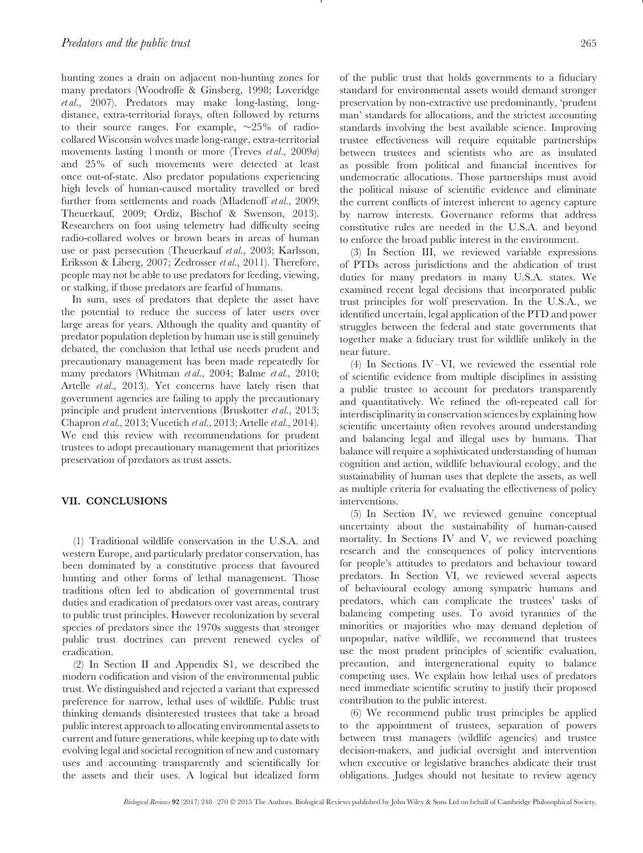hunting zones a drain on adjacent non-hunting zones for many predators (Woodroffe & Ginsberg, 1998; Loveridge *et al.*, 2007). Predators may make long-lasting, longdistance, extra-territorial forays, often followed by returns to their source ranges. For example, ∼25% of radiocollared Wisconsin wolves made long-range, extra-territorial movements lasting 1 month or more (Treves *et al.*, 2009*a*) and 25% of such movements were detected at least once out-of-state. Also predator populations experiencing high levels of human-caused mortality travelled or bred further from settlements and roads (Mladenoff *et al.*, 2009; Theuerkauf, 2009; Ordiz, Bischof & Swenson, 2013). Researchers on foot using telemetry had difficulty seeing radio-collared wolves or brown bears in areas of human use or past persecution (Theuerkauf *et al.*, 2003; Karlsson, Eriksson & Liberg, 2007; Zedrosser *et al.*, 2011). Therefore, people may not be able to use predators for feeding, viewing, or stalking, if those predators are fearful of humans.

In sum, uses of predators that deplete the asset have the potential to reduce the success of later users over large areas for years. Although the quality and quantity of predator population depletion by human use is still genuinely debated, the conclusion that lethal use needs prudent and precautionary management has been made repeatedly for many predators (Whitman *et al.*, 2004; Balme *et al.*, 2010; Artelle *et al.*, 2013). Yet concerns have lately risen that government agencies are failing to apply the precautionary principle and prudent interventions (Bruskotter *et al.*, 2013; Chapron *et al.*, 2013; Vucetich *et al.*, 2013; Artelle *et al.*, 2014). We end this review with recommendations for prudent trustees to adopt precautionary management that prioritizes preservation of predators as trust assets.

#### <span id="page-17-0"></span>**VII. CONCLUSIONS**

(1) Traditional wildlife conservation in the U.S.A. and western Europe, and particularly predator conservation, has been dominated by a constitutive process that favoured hunting and other forms of lethal management. Those traditions often led to abdication of governmental trust duties and eradication of predators over vast areas, contrary to public trust principles. However recolonization by several species of predators since the 1970s suggests that stronger public trust doctrines can prevent renewed cycles of eradication.

(2) In Section II and Appendix S1, we described the modern codification and vision of the environmental public trust. We distinguished and rejected a variant that expressed preference for narrow, lethal uses of wildlife. Public trust thinking demands disinterested trustees that take a broad public interest approach to allocating environmental assets to current and future generations, while keeping up to date with evolving legal and societal recognition of new and customary uses and accounting transparently and scientifically for the assets and their uses. A logical but idealized form

of the public trust that holds governments to a fiduciary standard for environmental assets would demand stronger preservation by non-extractive use predominantly, 'prudent man' standards for allocations, and the strictest accounting standards involving the best available science. Improving trustee effectiveness will require equitable partnerships between trustees and scientists who are as insulated as possible from political and financial incentives for undemocratic allocations. Those partnerships must avoid the political misuse of scientific evidence and eliminate the current conflicts of interest inherent to agency capture by narrow interests. Governance reforms that address constitutive rules are needed in the U.S.A. and beyond to enforce the broad public interest in the environment.

(3) In Section III, we reviewed variable expressions of PTDs across jurisdictions and the abdication of trust duties for many predators in many U.S.A. states. We examined recent legal decisions that incorporated public trust principles for wolf preservation. In the U.S.A., we identified uncertain, legal application of the PTD and power struggles between the federal and state governments that together make a fiduciary trust for wildlife unlikely in the near future.

(4) In Sections IV–VI, we reviewed the essential role of scientific evidence from multiple disciplines in assisting a public trustee to account for predators transparently and quantitatively. We refined the oft-repeated call for interdisciplinarity in conservation sciences by explaining how scientific uncertainty often revolves around understanding and balancing legal and illegal uses by humans. That balance will require a sophisticated understanding of human cognition and action, wildlife behavioural ecology, and the sustainability of human uses that deplete the assets, as well as multiple criteria for evaluating the effectiveness of policy interventions.

(5) In Section IV, we reviewed genuine conceptual uncertainty about the sustainability of human-caused mortality. In Sections IV and V, we reviewed poaching research and the consequences of policy interventions for people's attitudes to predators and behaviour toward predators. In Section VI, we reviewed several aspects of behavioural ecology among sympatric humans and predators, which can complicate the trustees' tasks of balancing competing uses. To avoid tyrannies of the minorities or majorities who may demand depletion of unpopular, native wildlife, we recommend that trustees use the most prudent principles of scientific evaluation, precaution, and intergenerational equity to balance competing uses. We explain how lethal uses of predators need immediate scientific scrutiny to justify their proposed contribution to the public interest.

(6) We recommend public trust principles be applied to the appointment of trustees, separation of powers between trust managers (wildlife agencies) and trustee decision-makers, and judicial oversight and intervention when executive or legislative branches abdicate their trust obligations. Judges should not hesitate to review agency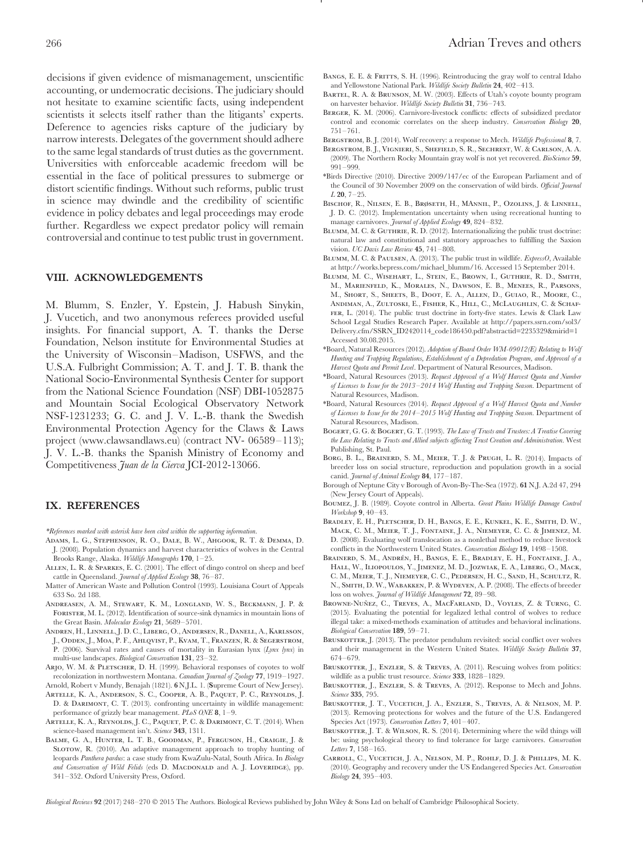decisions if given evidence of mismanagement, unscientific accounting, or undemocratic decisions. The judiciary should not hesitate to examine scientific facts, using independent scientists it selects itself rather than the litigants' experts. Deference to agencies risks capture of the judiciary by narrow interests. Delegates of the government should adhere to the same legal standards of trust duties as the government. Universities with enforceable academic freedom will be essential in the face of political pressures to submerge or distort scientific findings. Without such reforms, public trust in science may dwindle and the credibility of scientific evidence in policy debates and legal proceedings may erode further. Regardless we expect predator policy will remain controversial and continue to test public trust in government.

#### <span id="page-18-0"></span>**VIII. ACKNOWLEDGEMENTS**

M. Blumm, S. Enzler, Y. Epstein, J. Habush Sinykin, J. Vucetich, and two anonymous referees provided useful insights. For financial support, A. T. thanks the Derse Foundation, Nelson institute for Environmental Studies at the University of Wisconsin–Madison, USFWS, and the U.S.A. Fulbright Commission; A. T. and J. T. B. thank the National Socio-Environmental Synthesis Center for support from the National Science Foundation (NSF) DBI-1052875 and Mountain Social Ecological Observatory Network NSF-1231233; G. C. and J. V. L.-B. thank the Swedish Environmental Protection Agency for the Claws & Laws project [\(www.clawsandlaws.eu\)](http://www.clawsandlaws.eu) (contract NV- 06589–113); J. V. L.-B. thanks the Spanish Ministry of Economy and Competitiveness *Juan de la Cierva* JCI-2012-13066.

#### <span id="page-18-1"></span>**IX. REFERENCES**

*\*References marked with asterisk have been cited within the supporting information.*

- Adams, L. G., Stephenson, R. O., Dale, B. W., Ahgook, R. T. & Demma, D. J. (2008). Population dynamics and harvest characteristics of wolves in the Central Brooks Range, Alaska. *Wildlife Monographs* **170**, 1–25.
- Allen, L. R. & Sparkes, E. C. (2001). The effect of dingo control on sheep and beef cattle in Queensland. *Journal of Applied Ecology* **38**, 76–87.
- Matter of American Waste and Pollution Control (1993). Louisiana Court of Appeals 633 So. 2d 188.
- Andreasen, A. M., Stewart, K. M., Longland, W. S., Beckmann, J. P. & Forister, M. L. (2012). Identification of source-sink dynamics in mountain lions of the Great Basin. *Molecular Ecology* **21**, 5689–5701.
- Andren, H., Linnell, J. D. C., Liberg, O., Andersen, R., Danell, A., Karlsson, J., Odden, J., Moa, P. F., Ahlqvist, P., Kvam, T., Franzen, R. & Segerstrom, P. (2006). Survival rates and causes of mortality in Eurasian lynx (*Lynx lynx*) in multi-use landscapes. *Biological Conservation* **131**, 23–32.
- ARJO, W. M. & PLETSCHER, D. H. (1999). Behavioral responses of coyotes to wolf recolonization in northwestern Montana. *Canadian Journal of Zoology* **77**, 1919–1927.
- Arnold, Robert v Mundy, Benajah (1821). **6** N.J.L. 1. (**S**upreme Court of New Jersey). Artelle, K. A., Anderson, S. C., Cooper, A. B., Paquet, P. C., Reynolds, J. D. & DARIMONT, C. T. (2013). confronting uncertainty in wildlife management: performance of grizzly bear management. *PLoS ONE* **8**, 1–9.
- ARTELLE, K. A., REYNOLDS, J. C., PAQUET, P. C. & DARIMONT, C. T. (2014). When science-based management isn't. *Science* **343**, 1311.
- Balme, G. A., Hunter, L. T. B., Goodman, P., Ferguson, H., Craigie, J. & SLOTOW, R. (2010). An adaptive management approach to trophy hunting of leopards *Panthera pardus*: a case study from KwaZulu-Natal, South Africa. In *Biology* and Conservation of Wild Felids (eds D. MACDONALD and A. J. LOVERIDGE), pp. 341–352. Oxford University Press, Oxford.
- BANGS, E. E. & FRITTS, S. H. (1996). Reintroducing the gray wolf to central Idaho and Yellowstone National Park. *Wildlife Society Bulletin* **24**, 402–413.
- Bartel, R. A. & Brunson, M. W. (2003). Effects of Utah's coyote bounty program on harvester behavior. *Wildlife Society Bulletin* **31**, 736–743.
- BERGER, K. M. (2006). Carnivore-livestock conflicts: effects of subsidized predator control and economic correlates on the sheep industry. *Conservation Biology* **20**, 751–761.
- Bergstrom, B. J. (2014). Wolf recovery: a response to Mech. *Wildlife Professional* **8**, 7. Bergstrom, B. J., Vignieri, S., Shefield, S. R., Sechrest, W. & Carlson, A. A.
- (2009). The Northern Rocky Mountain gray wolf is not yet recovered. *BioScience* **59**, 991–999.
- \*Birds Directive (2010). Directive 2009/147/ec of the European Parliament and of the Council of 30 November 2009 on the conservation of wild birds. *Official Journal L* **20**, 7–25.
- Bischof, R., Nilsen, E. B., Brøseth, H., MAnnil, P., Ozolins, J. & Linnell, J. D. C. (2012). Implementation uncertainty when using recreational hunting to manage carnivores. *Journal of Applied Ecology* **49**, 824–832.
- BLUMM, M. C. & GUTHRIE, R. D. (2012). Internationalizing the public trust doctrine: natural law and constitutional and statutory approaches to fulfilling the Saxion vision. *UC Davis Law Review* **45**, 741–808.
- Blumm, M. C. & Paulsen, A. (2013). The public trust in wildlife. *ExpressO*, Available at [http://works.bepress.com/michael\\_blumm/16.](http://works.bepress.com/michael&uscore;blumm/16) Accessed 15 September 2014.
- BLUMM, M. C., WISEHART, L., STEIN, E., BROWN, I., GUTHRIE, R. D., SMITH, M., Marienfeld, K., Morales, N., Dawson, E. B., Menees, R., Parsons, M., Short, S., Sheets, B., Doot, E. A., Allen, D., Guiao, R., Moore, C., Andiman, A., Zultoski, E., Fisher, K., Hill, C., McLaughlin, C. & Schaffer, L. (2014). The public trust doctrine in forty-five states. Lewis & Clark Law School Legal Studies Research Paper. Available at http://papers.ssrn.com/sol3/ Delivery.cfm/SSRN\_ID2420114\_code186450.pdf?abstractid=2235329&mirid=1 Accessed 30.08.2015.
- \*Board, Natural Resources (2012). *Adoption of Board Order WM-09012(E) Relating to Wolf Hunting and Trapping Regulations, Establishment of a Depredation Program, and Approval of a Harvest Quota and Permit Level*. Department of Natural Resources, Madison.
- \*Board, Natural Resources (2013). *Request Approval of a Wolf Harvest Quota and Number of Licenses to Issue for the 2013–2014 Wolf Hunting and Trapping Season*. Department of Natural Resources, Madison.
- \*Board, Natural Resources (2014). *Request Approval of a Wolf Harvest Quota and Number of Licenses to Issue for the 2014–2015 Wolf Hunting and Trapping Season*. Department of Natural Resources, Madison.
- Bogert, G. G. & Bogert, G. T. (1993). *The Law of Trusts and Trustees: A Treatise Covering the Law Relating to Trusts and Allied subjects affecting Trust Creation and Administration*. West Publishing, St. Paul.
- BORG, B. L., BRAINERD, S. M., MEIER, T. J. & PRUGH, L. R. (2014). Impacts of breeder loss on social structure, reproduction and population growth in a social canid. *Journal of Animal Ecology* **84**, 177–187.
- Borough of Neptune City v Borough of Avon-By-The-Sea (1972). **61** N.J. A.2d 47, 294 (New Jersey Court of Appeals).
- Boumez, J. B. (1989). Coyote control in Alberta. *Great Plains Wildlife Damage Control Workshop* **9**, 40–43.
- Bradley, E. H., Pletscher, D. H., Bangs, E. E., Kunkel, K. E., Smith, D. W., Mack, C. M., Meier, T. J., Fontaine, J. A., Niemeyer, C. C. & Jimenez, M. D. (2008). Evaluating wolf translocation as a nonlethal method to reduce livestock conflicts in the Northwestern United States. *Conservation Biology* **19**, 1498–1508.
- BRAINERD, S. M., ANDRÉN, H., BANGS, E. E., BRADLEY, E. H., FONTAINE, J. A., Hall, W., Iliopoulos, Y., Jimenez, M. D., Jozwiak, E. A., Liberg, O., Mack, C. M., Meier, T. J., Niemeyer, C. C., Pedersen, H. C., Sand, H., Schultz, R. N., Smith, D. W., Wabakken, P. & Wydeven, A. P. (2008). The effects of breeder loss on wolves. *Journal of Wildlife Management* **72**, 89–98.
- BROWNE-NUÑEZ, C., TREVES, A., MACFARLAND, D., VOYLES, Z. & TURNG, C. (2015). Evaluating the potential for legalized lethal control of wolves to reduce illegal take: a mixed-methods examination of attitudes and behavioral inclinations. *Biological Conservation* **189**, 59–71.
- BRUSKOTTER, J. (2013). The predator pendulum revisited: social conflict over wolves and their management in the Western United States. *Wildlife Society Bulletin* **37**, 674–679.
- BRUSKOTTER, J., ENZLER, S. & TREVES, A. (2011). Rescuing wolves from politics: wildlife as a public trust resource. *Science* **333**, 1828–1829.
- BRUSKOTTER, J., ENZLER, S. & TREVES, A. (2012). Response to Mech and Johns. *Science* **335**, 795.
- Bruskotter, J. T., Vucetich, J. A., Enzler, S., Treves, A. & Nelson, M. P. (2013). Removing protections for wolves and the future of the U.S. Endangered Species Act (1973). *Conservation Letters* **7**, 401–407.
- BRUSKOTTER, J. T. & WILSON, R. S. (2014). Determining where the wild things will be: using psychological theory to find tolerance for large carnivores. *Conservation Letters* **7**, 158–165.
- Carroll, C., Vucetich, J. A., Nelson, M. P., Rohlf, D. J. & Phillips, M. K. (2010). Geography and recovery under the US Endangered Species Act. *Conservation Biology* **24**, 395–403.

*Biological Reviews* **92** (2017) 248–270 © 2015 The Authors. Biological Reviews published by John Wiley & Sons Ltd on behalf of Cambridge Philosophical Society.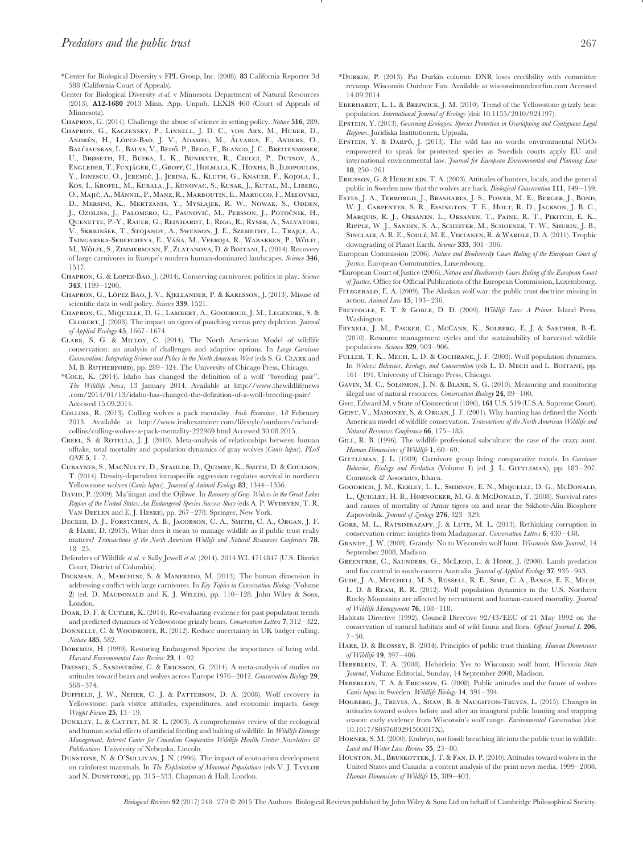- \*Center for Biological Diversity v FPL Group, Inc. (2008). **83** California Reporter 3d 588 (California Court of Appeals).
- Center for Biological Diversity *et al.* v Minnesota Department of Natural Resources (2013). **A12-1680** 2013 Minn. App. Unpub. LEXIS 460 (Court of Appeals of Minnesota).

Chapron, G. (2014). Challenge the abuse of science in setting policy. *Nature* **516**, 289. Chapron, G., Kaczensky, P., Linnell, J. D. C., von Arx, M., Huber, D.,

- ANDRÉN, H., LÓPEZ-BAO, J. V., ADAMEC, M., ÁLVARES, F., ANDERS, O., BALČIAUSKAS, L., BALYS, V., BEDŐ, P., BEGO, F., BLANCO, J. C., BREITENMOSER, U., Brøseth, H., Bufka, L. K., Bunikyte, R., Ciucci, P., Dutsov, A., ENGLEDER, T., FUXJÄGER, C., GROFF, C., HOLMALA, K., HOXHA, B., ILIOPOULOS, Y., IONESCU, O., JEREMIĆ, J., JERINA, K., KLUTH, G., KNAUER, F., KOJOLA, I., Kos, I., Krofel, M., Kubala, J., Kunovac, S., Kusak, J., Kutal, M., Liberg, O., Majić, A., Männil, P., Manz, R., Marboutin, E., Marucco, F., Melovski, D., Mersini, K., Mertzanis, Y., Mysłajek, R. W., Nowak, S., Odden, J., Ozolins, J., Palomero, G., Paunović, M., Persson, J., Potočnik, H., Quenette, P.-Y., Rauer, G., Reinhardt, I., Rigg, R., Ryser, A., Salvatori, V., Skrbinšek, T., Stojanov, A., Swenson, J. E., Szemethy, L., Trajce, A., TSINGARSKA-SEDEFCHEVA, E., VÁŇA, M., VEEROJA, R., WABAKKEN, P., WÖLFL, M., WÖLFL, S., ZIMMERMANN, F., ZLATANOVA, D. & BOITANI, L. (2014). Recovery of large carnivores in Europe's modern human-dominated landscapes. *Science* **346**, 1517.
- Chapron, G. & Lopez-Bao, J. (2014). Conserving carnivores: politics in play. *Science* **343**, 1199–1200.
- CHAPRON, G., LÓPEZ BAO, J. V., KJELLANDER, P. & KARLSSON, J. (2013). Misuse of scientific data in wolf policy. *Science* **339**, 1521.
- Chapron, G., Miquelle, D. G., Lambert, A., Goodrich, J. M., Legendre, S. & Clobert, J. (2008). The impact on tigers of poaching versus prey depletion. *Journal of Applied Ecology* **45**, 1667–1674.
- Clark, S. G. & Milloy, C. (2014). The North American Model of wildlife conservation: an analysis of challenges and adaptive options. In *Large Carnivore Conservation: Integrating Science and Policy in the North American West* (eds S. G. Clark and M. B. RUTHERFORD), pp. 289-324. The University of Chicago Press, Chicago.
- \*Cole, K. (2014). Idaho has changed the definition of a wolf ''breeding pair''. *The Wildlife News*, 13 January 2014. Available at [http://www.thewildlifenews](http://www.thewildlifenews.com/2014/01/13/idaho-has-changed-the-definition-of-a-wolf-breeding-pair/) [.com/2014/01/13/idaho-has-changed-the-definition-of-a-wolf-breeding-pair/](http://www.thewildlifenews.com/2014/01/13/idaho-has-changed-the-definition-of-a-wolf-breeding-pair/) Accessed 15.09.2014.
- Collins, R. (2013). Culling wolves a pack mentality. *Irish Examiner*, 1*8* February 2013. Available at [http://www.irishexaminer.com/lifestyle/outdoors/richard](http://www.irishexaminer.com/lifestyle/outdoors/richard-collins/culling-wolves-a-pack-mentality-222969.html)[collins/culling-wolves-a-pack-mentality-222969.html](http://www.irishexaminer.com/lifestyle/outdoors/richard-collins/culling-wolves-a-pack-mentality-222969.html) Accessed 30.08.2015.
- Creel, S. & Rotella, J. J. (2010). Meta-analysis of relationships between human offtake, total mortality and population dynamics of gray wolves (*Canis lupus*). *PLoS ONE* **5**, 1–7.
- Cubaynes, S., MacNulty, D., Stahler, D., Quimby, K., Smith, D. & Coulson, T. (2014). Density-dependent intraspecific aggression regulates survival in northern Yellowstone wolves (*Canis lupus*). *Journal of Animal Ecology* **83**, 1344–1356.
- David, P. (2009). Ma'iingan and the Ojibwe. In *Recovery of Gray Wolves in the Great Lakes* Region of the United States: An Endangered Species Success Story (eds A. P. WYDEVEN, T. R. Van Deelen and E. J. Heske), pp. 267–278. Springer, New York.
- Decker, D. J., Forstchen, A. B., Jacobson, C. A., Smith, C. A., Organ, J. F. & Hare, D. (2013). What does it mean to manage wildlife as if public trust really matters? *Transactions of the North American Widlife and Natural Resources Conference* **78**, 18–25.
- Defenders of Wildlife *et al.* v Sally Jewell *et al.* (2014). 2014 WL 4714847 (U.S. District Court, District of Columbia).
- Dickman, A., Marchini, S. & Manfredo, M. (2013). The human dimension in addressing conflict with large carnivores. In *Key Topics in Conservation Biology* (Volume 2) (ed. D. MACDONALD and K. J. WILLIS), pp. 110–128. John Wiley & Sons, London.
- DOAK, D. F. & CUTLER, K. (2014). Re-evaluating evidence for past population trends and predicted dynamics of Yellowstone grizzly bears. *Conservation Letters* **7**, 312–322.
- Donnelly, C. & Woodroffe, R. (2012). Reduce uncertainty in UK badger culling. *Nature* **485**, 582.
- Doremus, H. (1999). Restoring Endangered Species: the importance of being wild. *Harvard Environmental Law Review* **23**, 1–92.
- DRESSEL, S., SANDSTRÖM, C. & ERICSSON, G. (2014). A meta-analysis of studies on attitudes toward bears and wolves across Europe 1976–2012. *Conservation Biology* **29**, 568–574.
- Duffield, J. W., Neher, C. J. & Patterson, D. A. (2008). Wolf recovery in Yellowstone: park visitor attitudes, expenditures, and economic impacts. *George Wright Forum* **25**, 13–19.
- DUNKLEY, L. & CATTET, M. R. L. (2003). A comprehensive review of the ecological and human social effects of artificial feeding and baiting of wildlife. In *Wildlife Damage Management, Internet Center for Canadian Cooperative Wildlife Health Centre: Newsletters & Publications*. University of Nebraska, Lincoln.
- Dunstone, N. & O'Sullivan, J. N. (1996). The impact of ecotourism development on rainforest mammals. In *The Exploitation of Mammal Populations* (eds V. J. TAYLOR and N. Dunstone), pp. 313–333. Chapman & Hall, London.
- \*Durkin, P. (2013). Pat Durkin column: DNR loses credibility with committee revamp. Wisconsin Outdoor Fun. Available at [wisconsinoutdoorfun.com](http://wisconsinoutdoorfun.com) Accessed 14.09.2014.
- EBERHARDT, L. L. & BREIWICK, J. M. (2010). Trend of the Yellowstone grizzly bear population. *International Journal of Ecology* (doi: 10.1155/2010/924197).
- Epstein, Y. (2013). *Governing Ecologies: Species Protection in Overlapping and Contiguous Legal Regimes*. Juridiska Institutionen, Uppsala.
- EPSTEIN, Y. & DARPÖ, J. (2013). The wild has no words: environmental NGOs empowered to speak for protected species as Swedish courts apply EU and international environmental law. *Journal for European Environmental and Planning Law* **10**, 250–261.
- Ericsson, G. & Heberlein, T. A. (2003). Attitudes of hunters, locals, and the general public in Sweden now that the wolves are back. *Biological Conservation* **111**, 149–159.
- Estes, J. A., Terborgh, J., Brashares, J. S., Power, M. E., Berger, J., Bond, W. J., Carpenter, S. R., Essington, T. E., Holt, R. D., Jackson, J. B. C., Marquis, R. J., Oksanen, L., Oksanen, T., Paine, R. T., Pikitch, E. K., Ripple, W. J., Sandin, S. A., Scheffer, M., Schoener, T. W., Shurin, J. B., Sinclair, A. R. E., Soule´, M. E., Virtanen, R. & Wardle, D. A. (2011). Trophic downgrading of Planet Earth. *Science* **333**, 301–306.
- European Commission (2006). *Nature and Biodiversity Cases Ruling of the European Court of Justice*. European Communities, Luxembourg.
- \*European Court of Justice (2006). *Nature and Biodiversity Cases Ruling of the European Court of Justice*. Office for Official Publications of the European Commission, Luxembourg.
- Fitzgerald, E. A. (2009). The Alaskan wolf war: the public trust doctrine missing in action. *Animal Law* **15**, 193–236.
- Freyfogle, E. T. & Goble, D. D. (2009). *Wildlife Law: A Primer*. Island Press, Washington.
- Fryxell, J. M., Packer, C., McCann, K., Solberg, E. J. & Saether, B.-E. (2010). Resource management cycles and the sustainability of harvested wildlife populations. *Science* **329**, 903–906.
- FULLER, T. K., MECH, L. D. & COCHRANE, J. F. (2003). Wolf population dynamics. In *Wolves: Behavior, Ecology, and Conservation* (eds L. D. MECH and L. BOITANI), pp. 161–191. University of Chicago Press, Chicago.
- Gavin, M. C., Solomon, J. N. & Blank, S. G. (2010). Measuring and monitoring illegal use of natural resources. *Conservation Biology* **24**, 89–100.
- Geer, Edward M. v State of Connecticut (1896). **161** U.S. 519 (U.S.A. Supreme Court). GEIST, V., MAHONEY, S. & ORGAN, J. F. (2001). Why hunting has defined the North
- American model of wildlife conservation. *Transactions of the North American Wildlife and Natural Resources Conference* **66**, 175–185.
- GILL, R. B. (1996). The wildlife professional subculture: the case of the crazy aunt. *Human Dimensions of Wildlife* **1**, 60–69.
- GITTLEMAN, J. L. (1989). Carnivore group living: comparative trends. In *Carnivore* Behavior, Ecology and Evolution (Volume 1) (ed. J. L. GITTLEMAN), pp. 183-207. Comstock *&* Associates, Ithaca.
- Goodrich, J. M., Kerley, L. L., Smirnov, E. N., Miquelle, D. G., McDonald, L., QUIGLEY, H. B., HORNOCKER, M. G. & McDONALD, T. (2008). Survival rates and causes of mortality of Amur tigers on and near the Sikhote-Alin Biosphere Zapovednik. *Journal of Zoology* **276**, 323–329.
- GORE, M. L., RATSIMBAZAFY, J. & LUTE, M. L. (2013). Rethinking corruption in conservation crime: insights from Madagascar. *Conservation Letters* **6**, 430–438.
- Grandy, J. W. (2008). Grandy: No to Wisconsin wolf hunt. *Wisconsin State Journal*, 14 September 2008, Madison.
- Greentree, C., Saunders, G., McLeod, L. & Hone, J. (2000). Lamb predation and fox control in south-eastern Australia. *Journal of Applied Ecology* **37**, 935–943.
- Gude, J. A., Mitchell, M. S., Russell, R. E., Sime, C. A., Bangs, E. E., Mech, L. D. & Ream, R. R. (2012). Wolf population dynamics in the U.S. Northern Rocky Mountains are affected by recruitment and human-caused mortality. *Journal of Wildlife Management* **76**, 108–118.
- Habitats Directive (1992). Council Directive 92/43/EEC of 21 May 1992 on the conservation of natural habitats and of wild fauna and flora. *Official Journal L* **206**, 7–50.
- Hare, D. & Blossey, B. (2014). Principles of public trust thinking. *Human Dimensions of Wildlife* **19**, 397–406.
- Heberlein, T. A. (2008). Heberlein: Yes to Wisconsin wolf hunt. *Wisconsin State Journal*, Volume Editorial, Sunday, 14 September 2008, Madison.
- Heberlein, T. A. & Ericsson, G. (2008). Public attitudes and the future of wolves *Canis lupus* in Sweden. *Wildlife Biology* **14**, 391–394.
- HOGBERG, J., TREVES, A., SHAW, B. & NAUGHTON-TREVES, L. (2015). Changes in attitudes toward wolves before and after an inaugural public hunting and trapping season: early evidence from Wisconsin's wolf range. *Environmental Conservation* (doi: 10.1017/S037689291500017X).
- Horner, S. M. (2000). Embryo, not fossil: breathing life into the public trust in wildlife. *Land and Water Law Review* **35**, 23–80.
- HOUSTON, M., BRUSKOTTER, J. T. & FAN, D. P. (2010). Attitudes toward wolves in the United States and Canada: a content analysis of the print news media, 1999–2008. *Human Dimensions of Wildlife* **15**, 389–403.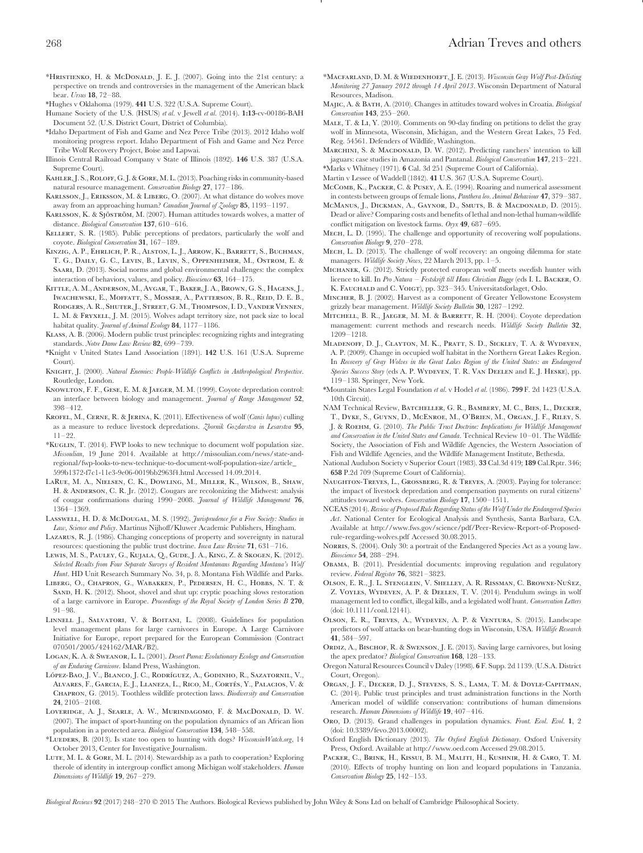- \*Hughes v Oklahoma (1979). **441** U.S. 322 (U.S.A. Supreme Court).
- Humane Society of the U.S. (HSUS) *et al.* v Jewell *et al.* (2014). **1:13**-cv-00186-BAH Document 52. (U.S. District Court, District of Columbia).
- \*Idaho Department of Fish and Game and Nez Perce Tribe (2013). 2012 Idaho wolf monitoring progress report. Idaho Department of Fish and Game and Nez Perce Tribe Wolf Recovery Project, Boise and Lapwai.
- Illinois Central Railroad Company v State of Illinois (1892). **146** U.S. 387 (U.S.A. Supreme Court).
- Kahler, J. S., Roloff, G. J. & Gore, M. L. (2013). Poaching risks in community-based natural resource management. *Conservation Biology* **27**, 177–186.
- KARLSSON, J., ERIKSSON, M. & LIBERG, O. (2007). At what distance do wolves move away from an approaching human? *Canadian Journal of Zoology* **85**, 1193–1197.
- KARLSSON, K. & SJÖSTRÖM, M. (2007). Human attitudes towards wolves, a matter of distance. *Biological Conservation* **137**, 610–616.
- KELLERT, S. R. (1985). Public perceptions of predators, particularly the wolf and coyote. *Biological Conservation* **31**, 167–189.
- Kinzig, A. P., Ehrlich, P. R., Alston, L. J., Arrow, K., Barrett, S., Buchman, T. G., Daily, G. C., Levin, B., Levin, S., Oppenheimer, M., Ostrom, E. & SAARI, D. (2013). Social norms and global environmental challenges: the complex interaction of behaviors, values, and policy. *Bioscience* **63**, 164–175.
- Kittle, A. M., Anderson, M., Avgar, T., Baker, J. A., Brown, G. S., Hagens, J., Iwachewski, E., Moffatt, S., Mosser, A., Patterson, B. R., Reid, D. E. B., RODGERS, A. R., SHUTER, J., STREET, G. M., THOMPSON, I. D., VANDER VENNEN, L. M. & Fryxell, J. M. (2015). Wolves adapt territory size, not pack size to local habitat quality. *Journal of Animal Ecology* **84**, 1177–1186.
- Klass, A. B. (2006). Modern public trust principles: recognizing rights and integrating standards. *Notre Dame Law Review* **82**, 699–739.
- \*Knight v United States Land Association (1891). **142** U.S. 161 (U.S.A. Supreme Court).
- Knight, J. (2000). *Natural Enemies: People-Wildlife Conflicts in Anthropological Perspective*. Routledge, London.
- Knowlton, F. F., Gese, E. M. & Jaeger, M. M. (1999). Coyote depredation control: an interface between biology and management. *Journal of Range Management* **52**, 398–412.
- Krofel, M., Cerne, R. & Jerina, K. (2011). Effectiveness of wolf (*Canis lupus*) culling as a measure to reduce livestock depredations. *Zbornik Gozdarstva in Lesarstva* **95**, 11–22.
- \*Kuglin, T. (2014). FWP looks to new technique to document wolf population size. *Missoulian*, 19 June 2014. Available at http://missoulian.com/news/state-andregional/fwp-looks-to-new-technique-to-d[ocum](http://missoulian.com/news/state-and-regional/fwp-looks-to-new-technique-to-document-wolf-population-size/article&uscore;599b1372-f7c1-11e3-9e06-0019bb2963f4.html)ent-wolf-population-size/article\_ 599b1372-f7c1-11e3-9e06-0019bb2963f4.html Accessed 14.09.2014.
- LaRue, M. A., Nielsen, C. K., Dowling, M., Miller, K., Wilson, B., Shaw, H. & Anderson, C. R. Jr. (2012). Cougars are recolonizing the Midwest: analysis of cougar confirmations during 1990–2008. *Journal of Wildlife Management* **76**, 1364–1369.
- Lasswell, H. D. & McDougal, M. S. (1992). *Jurisprudence for a Free Society: Studies in Law, Science and Policy*. Martinus Nijhoff/Kluwer Academic Publishers, Hingham.
- Lazarus, R. J. (1986). Changing conceptions of property and sovereignty in natural resources: questioning the public trust doctrine. *Iowa Law Review* **71**, 631–716.
- Lewis, M. S., Pauley, G., Kujala, Q., Gude, J. A., King, Z. & Skogen, K. (2012). *Selected Results from Four Separate Surveys of Resident Montanans Regarding Montana's Wolf Hunt*. HD Unit Research Summary No. 34, p. 8. Montana Fish Wildlife and Parks.
- Liberg, O., Chapron, G., Wabakken, P., Pedersen, H. C., Hobbs, N. T. & SAND, H. K. (2012). Shoot, shovel and shut up: cryptic poaching slows restoration of a large carnivore in Europe. *Proceedings of the Royal Society of London Series B* **270**, 91–98.
- LINNELL J., SALVATORI, V. & BOITANI, L. (2008). Guidelines for population level management plans for large carnivores in Europe. A Large Carnivore Initiative for Europe, report prepared for the European Commission (Contract 070501/2005/424162/MAR/B2).
- Logan, K. A. & Sweanor, L. L. (2001). *Desert Puma: Evolutionary Ecology and Conservation of an Enduring Carnivore*. Island Press, Washington.
- López-Bao, J. V., Blanco, J. C., Rodríguez, A., Godinho, R., Sazatornil, V., ALVARES, F., GARCIA, E. J., LLANEZA, L., RICO, M., CORTÉS, Y., PALACIOS, V. & Chapron, G. (2015). Toothless wildlife protection laws. *Biodiversity and Conservation* **24**, 2105–2108.
- Loveridge, A. J., Searle, A. W., Murindagomo, F. & MacDonald, D. W. (2007). The impact of sport-hunting on the population dynamics of an African lion population in a protected area. *Biological Conservation* **134**, 548–558.
- \*Lueders, B. (2013). Is state too open to hunting with dogs? *WisconsinWatch.org*, 14 October 2013, Center for Investigative Journalism.
- LUTE, M. L. & GORE, M. L. (2014). Stewardship as a path to cooperation? Exploring therole of identity in intergroup conflict among Michigan wolf stakeholders. *Human Dimensions of Wildlife* **19**, 267–279.
- \*Macfarland, D. M. & Wiedenhoeft, J. E. (2013). *Wisconsin Gray Wolf Post-Delisting Monitoring 27 January 2012 through 14 April 2013*. Wisconsin Department of Natural Resources, Madison.
- Majic, A. & Bath, A. (2010). Changes in attitudes toward wolves in Croatia. *Biological Conservation* **143**, 255–260.
- MALE, T. & LI, Y. (2010). Comments on 90-day finding on petitions to delist the gray wolf in Minnesota, Wisconsin, Michigan, and the Western Great Lakes, 75 Fed. Reg. 54561. Defenders of Wildlife, Washington.
- MARCHINI, S. & MACDONALD, D. W. (2012). Predicting ranchers' intention to kill jaguars: case studies in Amazonia and Pantanal. *Biological Conservation* **147**, 213–221. \*Marks v Whitney (1971). **6** Cal. 3d 251 (Supreme Court of California).
- Martin v Lessee of Waddell (1842). **41** U.S. 367 (U.S.A. Supreme Court).
- McComb, K., Packer, C. & Pusey, A. E. (1994). Roaring and numerical assessment in contests between groups of female lions, *Panthera leo*. *Animal Behaviour* **47**, 379–387.
- McManus, J., Dickman, A., Gaynor, D., Smuts, B. & Macdonald, D. (2015). Dead or alive? Comparing costs and benefits of lethal and non-lethal human-wildlife conflict mitigation on livestock farms. *Oryx* **49**, 687–695.
- Mech, L. D. (1995). The challenge and opportunity of recovering wolf populations. *Conservation Biology* **9**, 270–278.
- Mech, L. D. (2013). The challenge of wolf recovery: an ongoing dilemma for state managers. *Wildlife Society News*, 22 March 2013, pp. 1–5.
- Michanek, G. (2012). Strictly protected european wolf meets swedish hunter with licence to kill. In *Pro Natura – Festskrift till Hans Christian Bugge* (eds I. L. Backer, O. K. FAUCHALD and C. VOIGT), pp. 323-345. Universitatsforlaget, Oslo.
- Mincher, B. J. (2002). Harvest as a component of Greater Yellowstone Ecosystem grizzly bear management. *Wildlife Society Bulletin* **30**, 1287–1292.
- MITCHELL, B. R., JAEGER, M. M. & BARRETT, R. H. (2004). Covote depredation management: current methods and research needs. *Wildlife Society Bulletin* **32**, 1209–1218.
- Mladenoff, D. J., Clayton, M. K., Pratt, S. D., Sickley, T. A. & Wydeven, A. P. (2009). Change in occupied wolf habitat in the Northern Great Lakes Region. In *Recovery of Gray Wolves in the Great Lakes Region of the United States: an Endangered Species Success Story* (eds A. P. Wydeven, T. R. Van Deelen and E. J. Heske), pp. 119–138. Springer, New York.
- \*Mountain States Legal Foundation *et al.* v Hodel *et al.* (1986). **799** F. 2d 1423 (U.S.A. 10th Circuit).
- NAM Technical Review, Batcheller, G. R., Bambery, M. C., Bies, L., Decker, T., Dyke, S., Guynn, D., McEnroe, M., O'Brien, M., Organ, J. F., Riley, S. J. & Roehm, G. (2010). *The Public Trust Doctrine: Implications for Wildlife Management and Conservation in the United States and Canada*. Technical Review 10–01. The Wildlife Society, the Association of Fish and Wildlife Agencies, the Western Association of Fish and Wildlife Agencies, and the Wildlife Management Institute, Bethesda.
- National Audubon Society v Superior Court (1983). **33** Cal.3d 419; **189** Cal.Rptr. 346; **658** P.2d 709 (Supreme Court of California).
- Naughton-Treves, L., Grossberg, R. & Treves, A. (2003). Paying for tolerance: the impact of livestock depredation and compensation payments on rural citizens' attitudes toward wolves. *Conservation Biology* **17**, 1500–1511.
- NCEAS (2014). *Review of Proposed Rule Regarding Status of the Wolf Under the Endangered Species Act*. National Center for Ecological Analysis and Synthesis, Santa Barbara, CA. Available at [http://www.fws.gov/science/pdf/Peer-Review-Report-of-Proposed](http://www.fws.gov/science/pdf/Peer-Review-Report-of-Proposed-rule-regarding-wolves.pdf)[rule-regarding-wolves.pdf](http://www.fws.gov/science/pdf/Peer-Review-Report-of-Proposed-rule-regarding-wolves.pdf) Accessed 30.08.2015.
- Norris, S. (2004). Only 30: a portrait of the Endangered Species Act as a young law. *Bioscience* **54**, 288–294.
- Obama, B. (2011). Presidential documents: improving regulation and regulatory review. *Federal Register* **76**, 3821–3823.
- OLSON, E. R., J. L. STENGLEIN, V. SHELLEY, A. R. RISSMAN, C. BROWNE-NUÑEZ, Z. Voyles, Wydeven, A. P. & Deelen, T. V. (2014). Pendulum swings in wolf management led to conflict, illegal kills, and a legislated wolf hunt. *Conservation Letters* (doi: 10.1111/conl.12141).
- Olson, E. R., Treves, A., Wydeven, A. P. & Ventura, S. (2015). Landscape predictors of wolf attacks on bear-hunting dogs in Wisconsin, USA. *Wildlife Research* **41**, 584–597.
- ORDIZ, A., BISCHOF, R. & SWENSON, J. E. (2013). Saving large carnivores, but losing the apex predator? *Biological Conservation* **168**, 128–133.
- Oregon Natural Resources Council v Daley (1998). **6** F. Supp. 2d 1139. (U.S.A. District Court, Oregon).
- Organ, J. F., Decker, D. J., Stevens, S. S., Lama, T. M. & Doyle-Capitman, C. (2014). Public trust principles and trust administration functions in the North American model of wildlife conservation: contributions of human dimensions research. *Human Dimensions of Wildlife* **19**, 407–416.
- Oro, D. (2013). Grand challenges in population dynamics. *Front. Ecol. Evol.* **1**, 2 (doi: 10.3389/fevo.2013.00002).
- Oxford English Dictionary (2013). *The Oxford English Dictionary*. Oxford University Press, Oxford. Available at<http://www.oed.com> Accessed 29.08.2015.
- Packer, C., Brink, H., Kissui, B. M., Maliti, H., Kushnir, H. & Caro, T. M. (2010). Effects of trophy hunting on lion and leopard populations in Tanzania. *Conservation Biology* **25**, 142–153.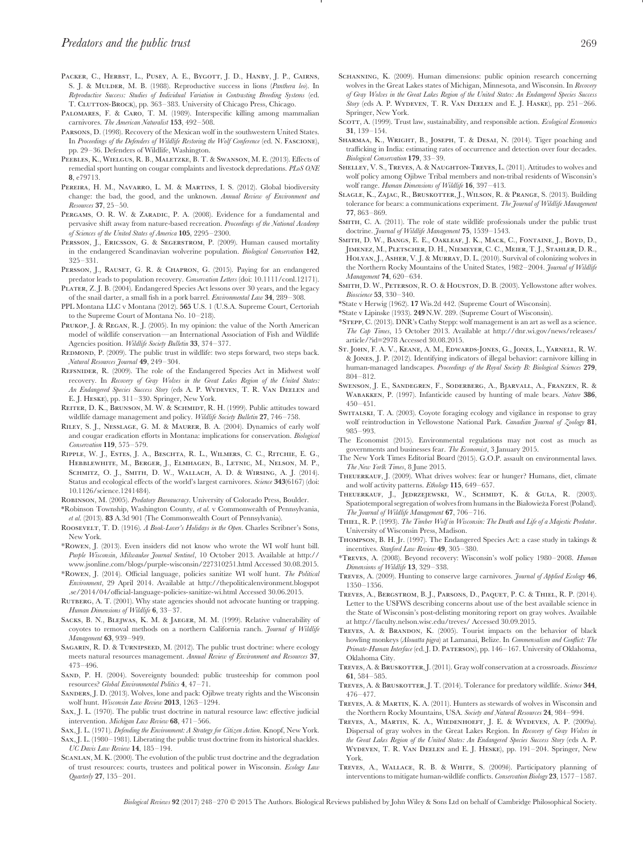- PACKER, C., HERBST, L., PUSEY, A. E., BYGOTT, J. D., HANBY, J. P., CAIRNS, S. J. & Mulder, M. B. (1988). Reproductive success in lions (*Panthera leo*). In *Reproductive Success: Studies of Individual Variation in Contrasting Breeding Systems* (ed. T. CLUTTON-BROCK), pp. 363-383. University of Chicago Press, Chicago.
- PALOMARES, F. & CARO, T. M. (1989). Interspecific killing among mammalian carnivores. *The American Naturalist* **153**, 492–508.
- Parsons, D. (1998). Recovery of the Mexican wolf in the southwestern United States. In Proceedings of the Defenders of Wildlife Restoring the Wolf Conference (ed. N. FASCIONE), pp. 29–36. Defenders of Wildlife, Washington.
- PEEBLES, K., WIELGUS, R. B., MALETZKE, B. T. & SWANSON, M. E. (2013). Effects of remedial sport hunting on cougar complaints and livestock depredations. *PLoS ONE* **8**, e79713.
- PEREIRA, H. M., NAVARRO, L. M. & MARTINS, I. S. (2012). Global biodiversity change: the bad, the good, and the unknown. *Annual Review of Environment and Resources* **37**, 25–50.
- PERGAMS, O. R. W. & ZARADIC, P. A. (2008). Evidence for a fundamental and pervasive shift away from nature-based recreation. *Proceedings of the National Academy of Sciences of the United States of America* **105**, 2295–2300.
- PERSSON, J., ERICSSON, G. & SEGERSTROM, P. (2009). Human caused mortality in the endangered Scandinavian wolverine population. *Biological Conservation* **142**, 325–331.
- PERSSON, J., RAUSET, G. R. & CHAPRON, G. (2015). Paying for an endangered predator leads to population recovery. *Conservation Letters* (doi: 10.1111/conl.12171).
- Plater, Z. J. B. (2004). Endangered Species Act lessons over 30 years, and the legacy of the snail darter, a small fish in a pork barrel. *Environmental Law* **34**, 289–308.
- PPL Montana LLC v Montana (2012). **565** U.S. 1 (U.S.A. Supreme Court, Certoriah to the Supreme Court of Montana No. 10–218).
- PRUKOP, J. & REGAN, R. J. (2005). In my opinion: the value of the North American model of wildlife conservation—an International Association of Fish and Wildlife Agencies position. *Wildlife Society Bulletin* **33**, 374–377.
- REDMOND, P. (2009). The public trust in wildlife: two steps forward, two steps back. *Natural Resources Journal* **49**, 249–304.
- Refsnider, R. (2009). The role of the Endangered Species Act in Midwest wolf recovery. In *Recovery of Gray Wolves in the Great Lakes Region of the United States:* An Endangered Species Success Story (eds A. P. WYDEVEN, T. R. VAN DEELEN and E. J. Heske), pp. 311–330. Springer, New York.
- REITER, D. K., BRUNSON, M. W. & SCHMIDT, R. H. (1999). Public attitudes toward wildlife damage management and policy. *Wildlife Society Bulletin* **27**, 746–758.
- Riley, S. J., Nesslage, G. M. & Maurer, B. A. (2004). Dynamics of early wolf and cougar eradication efforts in Montana: implications for conservation. *Biological Conservation* **119**, 575–579.
- Ripple, W. J., Estes, J. A., Beschta, R. L., Wilmers, C. C., Ritchie, E. G., Hebblewhite, M., Berger, J., Elmhagen, B., Letnic, M., Nelson, M. P., SCHMITZ, O. J., SMITH, D. W., WALLACH, A. D. & WIRSING, A. J. (2014). Status and ecological effects of the world's largest carnivores. *Science* **343**(6167) (doi: 10.1126/science.1241484).
- Robinson, M. (2005). *Predatory Bureaucracy*. University of Colorado Press, Boulder.
- \*Robinson Township, Washington County, *et al.* v Commonwealth of Pennsylvania,
- *et al.* (2013). **83** A.3d 901 (The Commonwealth Court of Pennsylvania). Roosevelt, T. D. (1916). *A Book-Lover's Holidays in the Open*. Charles Scribner's Sons, New York.
- \*Rowen, J. (2013). Even insiders did not know who wrote the WI wolf hunt bill. *Purple Wisconsin*, *Milwaukee Journal Sentinel*, 10 October 2013. Available at [http://](http://www.jsonline.com/blogs/purple-wisconsin/227310251.html) [www.jsonline.com/blogs/purple-wisconsin/227310251.html](http://www.jsonline.com/blogs/purple-wisconsin/227310251.html) Accessed 30.08.2015.
- \*Rowen, J. (2014). Official language, policies sanitize WI wolf hunt. *The Political Environment*, 29 April 2014. Available at [http://thepoliticalenvironment.blogspot](http://thepoliticalenvironment.blogspot.se/2014/04/official-language-policies-sanitize-wi.html) [.se/2014/04/official-language-policies-sanitize-wi.html](http://thepoliticalenvironment.blogspot.se/2014/04/official-language-policies-sanitize-wi.html) Accessed 30.06.2015.
- RUTBERG, A. T. (2001). Why state agencies should not advocate hunting or trapping. *Human Dimensions of Wildlife* **6**, 33–37.
- Sacks, B. N., Blejwas, K. M. & Jaeger, M. M. (1999). Relative vulnerability of coyotes to removal methods on a northern California ranch. *Journal of Wildlife Management* **63**, 939–949.
- SAGARIN, R. D. & TURNIPSEED, M. (2012). The public trust doctrine: where ecology meets natural resources management. *Annual Review of Environment and Resources* **37**, 473–496.
- SAND, P. H. (2004). Sovereignty bounded: public trusteeship for common pool resources? *Global Environmental Politics* **4**, 47–71.
- SANDERS, J. D. (2013). Wolves, lone and pack: Ojibwe treaty rights and the Wisconsin wolf hunt. *Wisconsin Law Review* **2013**, 1263–1294.
- Sax, J. L. (1970). The public trust doctrine in natural resource law: effective judicial intervention. *Michigan Law Review* **68**, 471–566.
- Sax, J. L. (1971). *Defending the Environment: A Strategy for Citizen Action*. Knopf, New York.
- Sax, J. L. (1980–1981). Liberating the public trust doctrine from its historical shackles. *UC Davis Law Review* **14**, 185–194.
- Scanlan, M. K. (2000). The evolution of the public trust doctrine and the degradation of trust resources: courts, trustees and political power in Wisconsin. *Ecology Law Quarterly* **27**, 135–201.
- SCHANNING, K. (2009). Human dimensions: public opinion research concerning wolves in the Great Lakes states of Michigan, Minnesota, and Wisconsin. In *Recovery of Gray Wolves in the Great Lakes Region of the United States: An Endangered Species Success Story* (eds A. P. WYDEVEN, T. R. VAN DEELEN and E. J. HASKE), pp. 251–266. Springer, New York.
- SCOTT, A. (1999). Trust law, sustainability, and responsible action. *Ecological Economics* **31**, 139–154.
- SHARMAA, K., WRIGHT, B., JOSEPH, T. & DESAI, N. (2014). Tiger poaching and trafficking in India: estimating rates of occurrence and detection over four decades. *Biological Conservation* **179**, 33–39.
- SHELLEY, V. S., TREVES, A. & NAUGHTON-TREVES, L. (2011). Attitudes to wolves and wolf policy among Ojibwe Tribal members and non-tribal residents of Wisconsin's wolf range. *Human Dimensions of Wildlife* **16**, 397–413.
- Slagle, K., Zajac, R., Bruskotter, J., Wilson, R. & Prange, S. (2013). Building tolerance for bears: a communications experiment. *The Journal of Wildlife Management* **77**, 863–869.
- SMITH, C. A. (2011). The role of state wildlife professionals under the public trust doctrine. *Journal of Wildlife Management* **75**, 1539–1543.
- Smith, D. W., Bangs, E. E., Oakleaf, J. K., Mack, C., Fontaine, J., Boyd, D., Jimenez, M., Pletscher, D. H., Niemeyer, C. C., Meier, T. J., Stahler, D. R., Holyan, J., Asher, V. J. & Murray, D. L. (2010). Survival of colonizing wolves in the Northern Rocky Mountains of the United States, 1982–2004. *Journal of Wildlife Management* **74**, 620–634.
- SMITH, D. W., PETERSON, R. O. & HOUSTON, D. B. (2003). Yellowstone after wolves. *Bioscience* **53**, 330–340.
- \*State v Herwig (1962). **17** Wis.2d 442. (Supreme Court of Wisconsin).
- \*State v Lipinske (1933). **249** N.W. 289. (Supreme Court of Wisconsin).
- \*Stepp, C. (2013). DNR's Cathy Stepp: wolf management is an art as well as a science. *The Cap Times*, 15 October 2013. Available at [http://dnr.wi.gov/news/releases/](http://dnr.wi.gov/news/releases/article/?id=2978) [article/?id=2978](http://dnr.wi.gov/news/releases/article/?id=2978) Accessed 30.08.2015.
- St. John, F. A. V., Keane, A. M., Edwards-Jones, G., Jones, L., Yarnell, R. W. & Jones, J. P. (2012). Identifying indicators of illegal behavior: carnivore killing in human-managed landscapes. *Proceedings of the Royal Society B: Biological Sciences* **279**, 804–812.
- Swenson, J. E., Sandegren, F., Soderberg, A., Bjarvall, A., Franzen, R. & Wabakken, P. (1997). Infanticide caused by hunting of male bears. *Nature* **386**, 450–451.
- SWITALSKI, T. A. (2003). Coyote foraging ecology and vigilance in response to gray wolf reintroduction in Yellowstone National Park. *Canadian Journal of Zoology* **81**, 985–993.
- The Economist (2015). Environmental regulations may not cost as much as governments and businesses fear. *The Economist*, 3 January 2015.
- The New York Times Editorial Board (2015). G.O.P. assault on environmental laws. *The New Yorlk Times*, 8 June 2015.
- THEUERKAUF, J. (2009). What drives wolves: fear or hunger? Humans, diet, climate and wolf activity patterns. *Ethology* **115**, 649–657.
- THEUERKAUF, J., JEDRZEJEWSKI, W., SCHMIDT, K. & GULA, R. (2003). Spatiotemporal segregation of wolves from humans in the Białowieża Forest (Poland). *The Journal of Wildlife Management* **67**, 706–716.
- Thiel, R. P. (1993). *The Timber Wolf in Wisconsin: The Death and Life of a Majestic Predator*. University of Wisconsin Press, Madison.
- Thompson, B. H. Jr. (1997). The Endangered Species Act: a case study in takings & incentives. *Stanford Law Review* **49**, 305–380.
- \*Treves, A. (2008). Beyond recovery: Wisconsin's wolf policy 1980–2008. *Human Dimensions of Wildlife* **13**, 329–338.
- Treves, A. (2009). Hunting to conserve large carnivores. *Journal of Applied Ecology* **46**, 1350–1356.
- Treves, A., Bergstrom, B. J., Parsons, D., Paquet, P. C. & Thiel, R. P. (2014). Letter to the USFWS describing concerns about use of the best available science in the State of Wisconsin's post-delisting monitoring report on gray wolves. Available at<http://faculty.nelson.wisc.edu/treves/> Accessed 30.09.2015.
- Treves, A. & Brandon, K. (2005). Tourist impacts on the behavior of black howling monkeys (*Alouatta pigra*) at Lamanai, Belize. In *Commensalism and Conflict: The Primate-Human Interface* (ed. J. D. Paterson), pp. 146–167. University of Oklahoma, Oklahoma City.
- Treves, A. & Bruskotter, J. (2011). Gray wolf conservation at a crossroads. *Bioscience* **61**, 584–585.
- TREVES, A. & BRUSKOTTER, J. T. (2014). Tolerance for predatory wildlife. *Science* 344, 476–477.
- Treves, A. & Martin, K. A. (2011). Hunters as stewards of wolves in Wisconsin and the Northern Rocky Mountains, USA. *Society and Natural Resources* **24**, 984–994.
- Treves, A., Martin, K. A., Wiedenhoeft, J. E. & Wydeven, A. P. (2009*a*). Dispersal of gray wolves in the Great Lakes Region. In *Recovery of Gray Wolves in the Great Lakes Region of the United States: An Endangered Species Success Story* (eds A. P. Wydeven, T. R. Van Deelen and E. J. Heske), pp. 191–204. Springer, New York.
- Treves, A., Wallace, R. B. & White, S. (2009*b*). Participatory planning of interventions to mitigate human-wildlife conflicts. *Conservation Biology* **23**, 1577–1587.